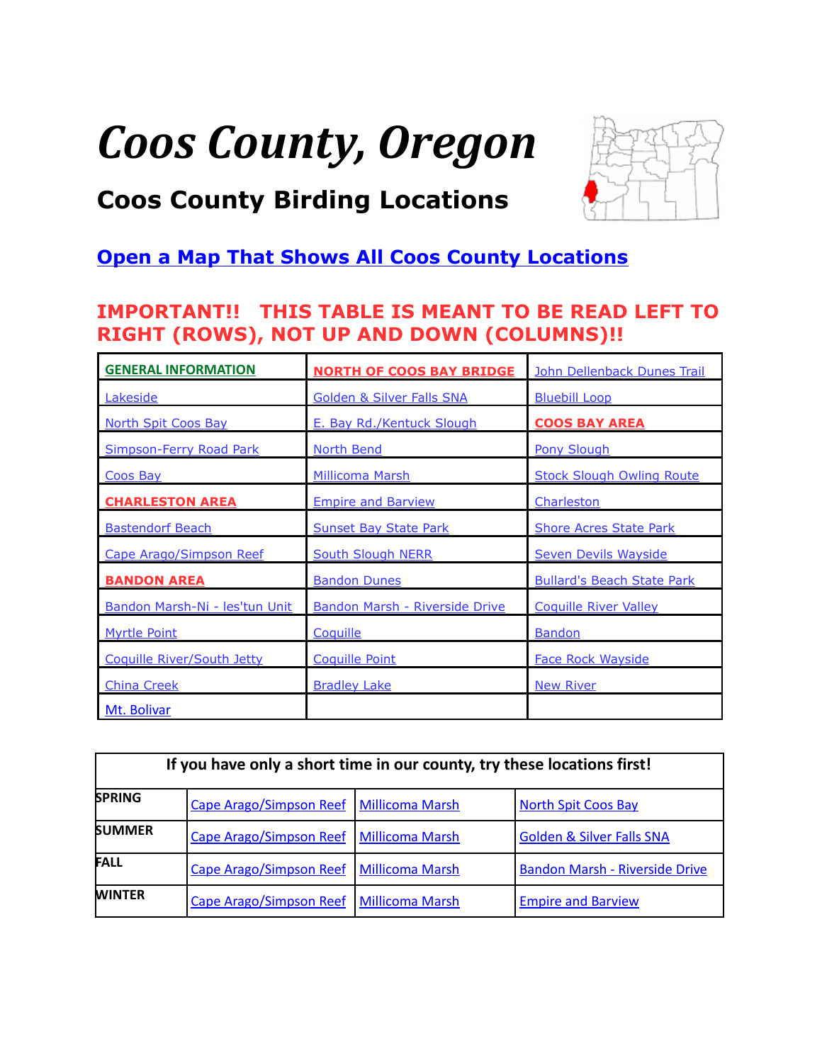# *Coos County, Oregon*



# <span id="page-0-0"></span>**Coos County Birding Locations**

# **[Open a Map That Shows All Coos County Locations](https://www.google.com/maps/d/edit?mid=zVl1oTDALjf4.k6mzNzMnjNUY&usp=sharing)**

# **IMPORTANT!! THIS TABLE IS MEANT TO BE READ LEFT TO RIGHT (ROWS), NOT UP AND DOWN (COLUMNS)!!**

| <b>GENERAL INFORMATION</b>        | <b>NORTH OF COOS BAY BRIDGE</b>       | John Dellenback Dunes Trail       |
|-----------------------------------|---------------------------------------|-----------------------------------|
| Lakeside                          | <b>Golden &amp; Silver Falls SNA</b>  | <b>Bluebill Loop</b>              |
| <b>North Spit Coos Bay</b>        | E. Bay Rd./Kentuck Slough             | <b>COOS BAY AREA</b>              |
| <b>Simpson-Ferry Road Park</b>    | <b>North Bend</b>                     | <b>Pony Slough</b>                |
| Coos Bay                          | Millicoma Marsh                       | <b>Stock Slough Owling Route</b>  |
| <b>CHARLESTON AREA</b>            | <b>Empire and Barview</b>             | Charleston                        |
| <b>Bastendorf Beach</b>           | <b>Sunset Bay State Park</b>          | <b>Shore Acres State Park</b>     |
| Cape Arago/Simpson Reef           | <b>South Slough NERR</b>              | <b>Seven Devils Wayside</b>       |
| <b>BANDON AREA</b>                | <b>Bandon Dunes</b>                   | <b>Bullard's Beach State Park</b> |
| Bandon Marsh-Ni - les'tun Unit    | <b>Bandon Marsh - Riverside Drive</b> | <b>Coquille River Valley</b>      |
| <b>Myrtle Point</b>               | Coquille                              | <b>Bandon</b>                     |
| <b>Coquille River/South Jetty</b> | <b>Coquille Point</b>                 | <b>Face Rock Wayside</b>          |
| <b>China Creek</b>                | <b>Bradley Lake</b>                   | <b>New River</b>                  |
| Mt. Bolivar                       |                                       |                                   |

| If you have only a short time in our county, try these locations first! |                                           |  |                                       |  |
|-------------------------------------------------------------------------|-------------------------------------------|--|---------------------------------------|--|
| <b>SPRING</b>                                                           | Cape Arago/Simpson Reef   Millicoma Marsh |  | <b>North Spit Coos Bay</b>            |  |
| <b>SUMMER</b>                                                           | Cape Arago/Simpson Reef   Millicoma Marsh |  | <b>Golden &amp; Silver Falls SNA</b>  |  |
| <b>FALL</b>                                                             | Cape Arago/Simpson Reef   Millicoma Marsh |  | <b>Bandon Marsh - Riverside Drive</b> |  |
| <b>WINTER</b>                                                           | Cape Arago/Simpson Reef   Millicoma Marsh |  | <b>Empire and Barview</b>             |  |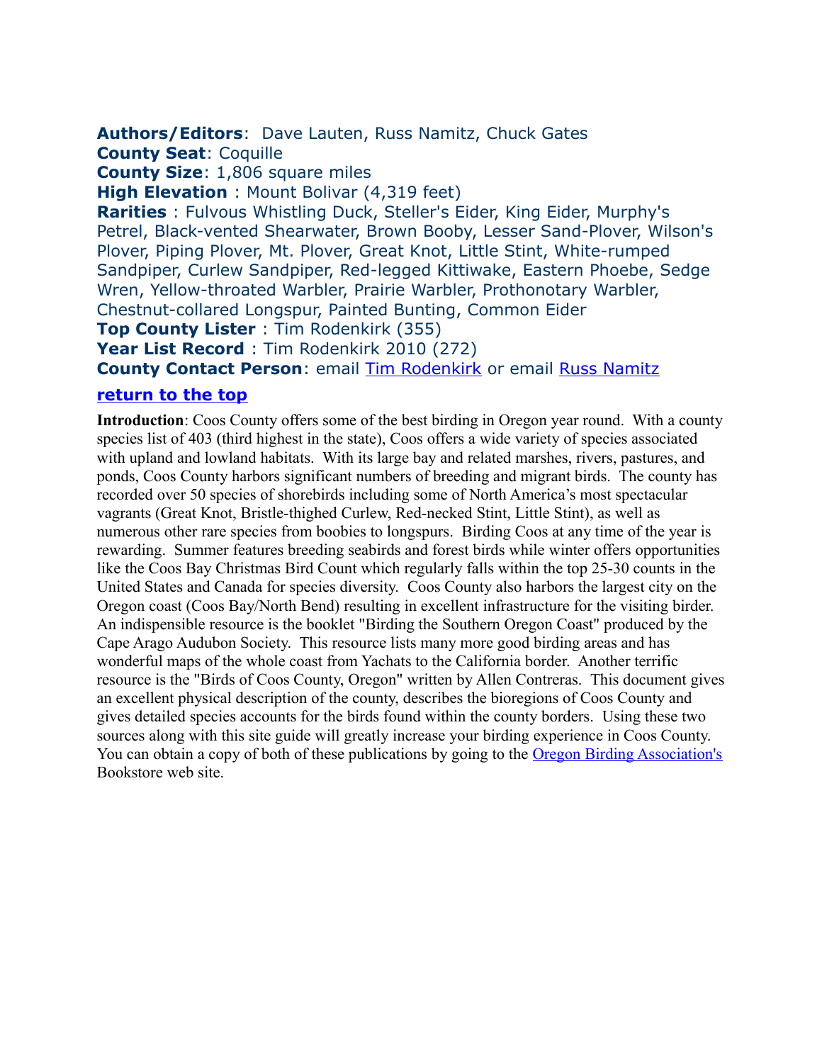#### <span id="page-1-0"></span>**Authors/Editors**: Dave Lauten, Russ Namitz, Chuck Gates

**County Seat**: Coquille

**County Size**: 1,806 square miles

**High Elevation** : Mount Bolivar (4,319 feet)

**Rarities** : Fulvous Whistling Duck, Steller's Eider, King Eider, Murphy's Petrel, Black-vented Shearwater, Brown Booby, Lesser Sand-Plover, Wilson's Plover, Piping Plover, Mt. Plover, Great Knot, Little Stint, White-rumped Sandpiper, Curlew Sandpiper, Red-legged Kittiwake, Eastern Phoebe, Sedge Wren, Yellow-throated Warbler, Prairie Warbler, Prothonotary Warbler, Chestnut-collared Longspur, Painted Bunting, Common Eider

**Top County Lister** : Tim Rodenkirk (355)

**Year List Record** : Tim Rodenkirk 2010 (272)

**County Contact Person: email** *Tim Rodenkirk* or email **Russ Namitz** 

#### **[return to the top](#page-0-0)**

**Introduction**: Coos County offers some of the best birding in Oregon year round. With a county species list of 403 (third highest in the state), Coos offers a wide variety of species associated with upland and lowland habitats. With its large bay and related marshes, rivers, pastures, and ponds, Coos County harbors significant numbers of breeding and migrant birds. The county has recorded over 50 species of shorebirds including some of North America's most spectacular vagrants (Great Knot, Bristle-thighed Curlew, Red-necked Stint, Little Stint), as well as numerous other rare species from boobies to longspurs. Birding Coos at any time of the year is rewarding. Summer features breeding seabirds and forest birds while winter offers opportunities like the Coos Bay Christmas Bird Count which regularly falls within the top 25-30 counts in the United States and Canada for species diversity. Coos County also harbors the largest city on the Oregon coast (Coos Bay/North Bend) resulting in excellent infrastructure for the visiting birder. An indispensible resource is the booklet "Birding the Southern Oregon Coast" produced by the Cape Arago Audubon Society. This resource lists many more good birding areas and has wonderful maps of the whole coast from Yachats to the California border. Another terrific resource is the "Birds of Coos County, Oregon" written by Allen Contreras. This document gives an excellent physical description of the county, describes the bioregions of Coos County and gives detailed species accounts for the birds found within the county borders. Using these two sources along with this site guide will greatly increase your birding experience in Coos County. You can obtain a copy of both of these publications by going to the [Oregon Birding Association's](http://www.orbirds.org/bookstore.html) Bookstore web site.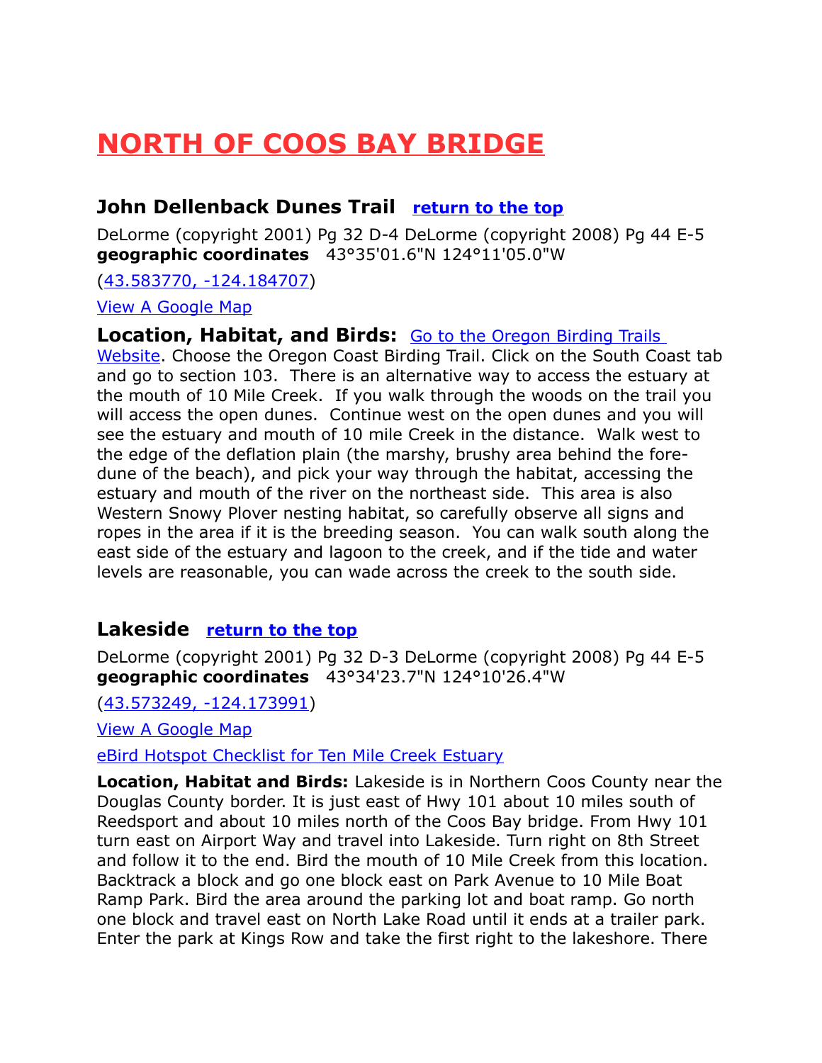# <span id="page-2-2"></span>**NORTH OF COOS BAY BRIDGE**

## <span id="page-2-0"></span>**John Dellenback Dunes Trail [return to the top](#page-0-0)**

DeLorme (copyright 2001) Pg 32 D-4 DeLorme (copyright 2008) Pg 44 E-5 **geographic coordinates** 43°35'01.6"N 124°11'05.0"W

[\(43.583770, -124.184707\)](https://www.google.com/maps/place/43%C2%B035)

[View A Google Map](http://maps.google.com/maps/ms?ie=UTF8&hl=en&msa=0&%20spn=0.010602,0.017338&z=16&msid=108036481085398338899.00046b4fb50cb3146275a) 

**Location, Habitat, and Birds:** [Go to the Oregon Birding Trails](http://www.oregonbirdingtrails.org/) 

[Website.](http://www.oregonbirdingtrails.org/) Choose the Oregon Coast Birding Trail. Click on the South Coast tab and go to section 103. There is an alternative way to access the estuary at the mouth of 10 Mile Creek. If you walk through the woods on the trail you will access the open dunes. Continue west on the open dunes and you will see the estuary and mouth of 10 mile Creek in the distance. Walk west to the edge of the deflation plain (the marshy, brushy area behind the foredune of the beach), and pick your way through the habitat, accessing the estuary and mouth of the river on the northeast side. This area is also Western Snowy Plover nesting habitat, so carefully observe all signs and ropes in the area if it is the breeding season. You can walk south along the east side of the estuary and lagoon to the creek, and if the tide and water levels are reasonable, you can wade across the creek to the south side.

## <span id="page-2-1"></span>**Lakeside [return to the top](#page-0-0)**

DeLorme (copyright 2001) Pg 32 D-3 DeLorme (copyright 2008) Pg 44 E-5 **geographic coordinates** 43°34'23.7"N 124°10'26.4"W

[\(43.573249, -124.173991\)](https://www.google.com/maps/place/43%C2%B034)

[View A Google Map](http://maps.google.com/maps/ms?hl=en&ie=UTF8&msa=0&%20spn=0.095174,0.264187&z=13&msid=108036481085398338899.00047991569525c53bd09) 

eBird Hotspot Checklist for Ten Mile Creek Estuary

**Location, Habitat and Birds:** Lakeside is in Northern Coos County near the Douglas County border. It is just east of Hwy 101 about 10 miles south of Reedsport and about 10 miles north of the Coos Bay bridge. From Hwy 101 turn east on Airport Way and travel into Lakeside. Turn right on 8th Street and follow it to the end. Bird the mouth of 10 Mile Creek from this location. Backtrack a block and go one block east on Park Avenue to 10 Mile Boat Ramp Park. Bird the area around the parking lot and boat ramp. Go north one block and travel east on North Lake Road until it ends at a trailer park. Enter the park at Kings Row and take the first right to the lakeshore. There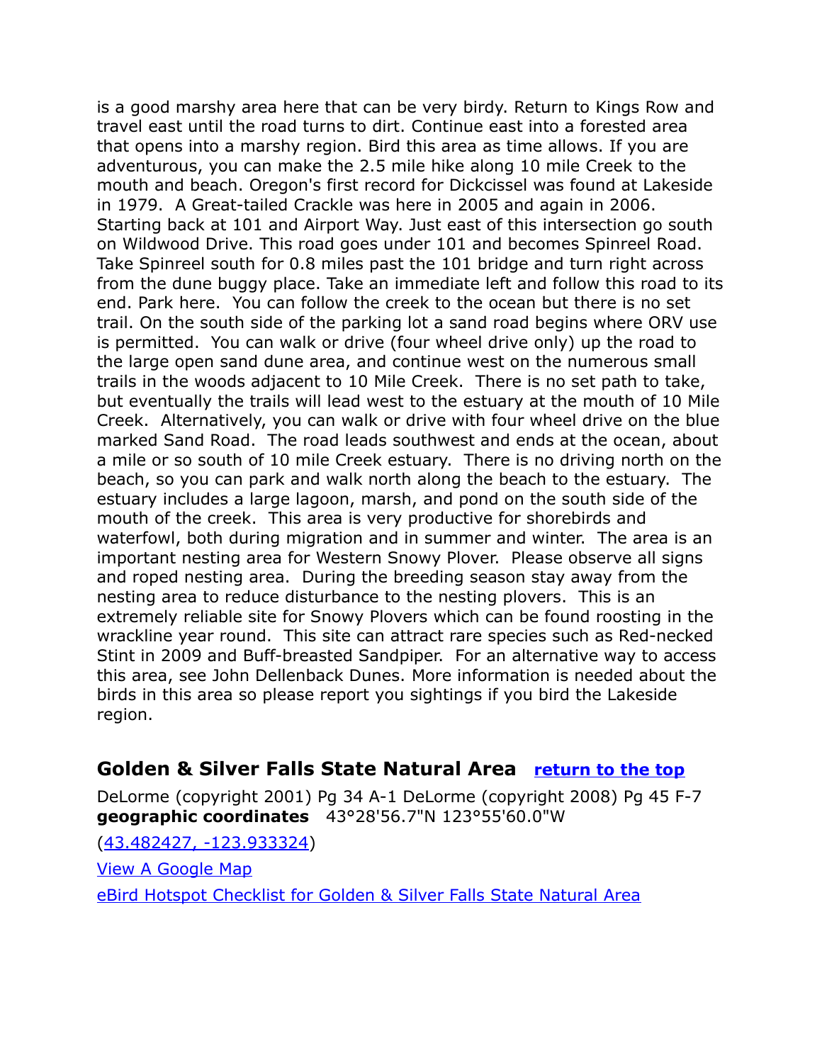is a good marshy area here that can be very birdy. Return to Kings Row and travel east until the road turns to dirt. Continue east into a forested area that opens into a marshy region. Bird this area as time allows. If you are adventurous, you can make the 2.5 mile hike along 10 mile Creek to the mouth and beach. Oregon's first record for Dickcissel was found at Lakeside in 1979. A Great-tailed Crackle was here in 2005 and again in 2006. Starting back at 101 and Airport Way. Just east of this intersection go south on Wildwood Drive. This road goes under 101 and becomes Spinreel Road. Take Spinreel south for 0.8 miles past the 101 bridge and turn right across from the dune buggy place. Take an immediate left and follow this road to its end. Park here. You can follow the creek to the ocean but there is no set trail. On the south side of the parking lot a sand road begins where ORV use is permitted. You can walk or drive (four wheel drive only) up the road to the large open sand dune area, and continue west on the numerous small trails in the woods adjacent to 10 Mile Creek. There is no set path to take, but eventually the trails will lead west to the estuary at the mouth of 10 Mile Creek. Alternatively, you can walk or drive with four wheel drive on the blue marked Sand Road. The road leads southwest and ends at the ocean, about a mile or so south of 10 mile Creek estuary. There is no driving north on the beach, so you can park and walk north along the beach to the estuary. The estuary includes a large lagoon, marsh, and pond on the south side of the mouth of the creek. This area is very productive for shorebirds and waterfowl, both during migration and in summer and winter. The area is an important nesting area for Western Snowy Plover. Please observe all signs and roped nesting area. During the breeding season stay away from the nesting area to reduce disturbance to the nesting plovers. This is an extremely reliable site for Snowy Plovers which can be found roosting in the wrackline year round. This site can attract rare species such as Red-necked Stint in 2009 and Buff-breasted Sandpiper. For an alternative way to access this area, see John Dellenback Dunes. More information is needed about the birds in this area so please report you sightings if you bird the Lakeside region.

## **Golden & Silver Falls State Natural Area [return to the top](#page-0-0)**

DeLorme (copyright 2001) Pg 34 A-1 DeLorme (copyright 2008) Pg 45 F-7 **geographic coordinates** 43°28'56.7"N 123°55'60.0"W

[\(43.482427, -123.933324\)](https://www.google.com/maps/place/43%C2%B028) [View A Google Map](http://maps.google.com/maps/ms?ie=UTF8&hl=en&msa=0&ll=43.486618,-123.932133&spn=0.04247,0.069351&z=14&msid=108036481085398338899.00046b4fbce5daee875ac) [eBird Hotspot Checklist for Golden & Silver Falls State Natural Area](http://ebird.org/ebird/hotspot/L1227909)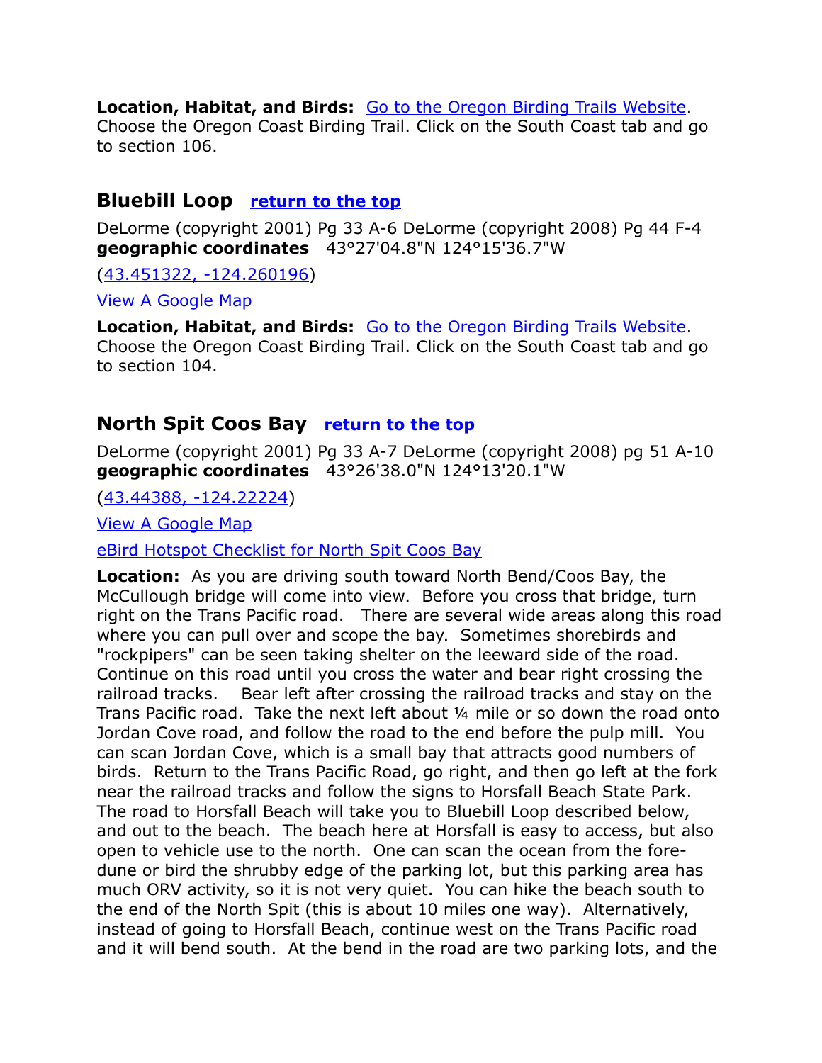**Location, Habitat, and Birds:** [Go to the Oregon Birding Trails Website.](http://www.oregonbirdingtrails.org/) Choose the Oregon Coast Birding Trail. Click on the South Coast tab and go to section 106.

#### <span id="page-4-1"></span>**Bluebill Loop [return to the top](#page-0-0)**

DeLorme (copyright 2001) Pg 33 A-6 DeLorme (copyright 2008) Pg 44 F-4 **geographic coordinates** 43°27'04.8"N 124°15'36.7"W

[\(43.451322, -124.260196\)](https://www.google.com/maps/place/43%C2%B027)

[View A Google Map](http://maps.google.com/maps/ms?hl=en&ie=UTF8&msa=0&msid=108036481085398338899.0004798af522b131379e4&%20spn=0.095389,0.264187&z=13)

**Location, Habitat, and Birds:** [Go to the Oregon Birding Trails Website.](http://www.oregonbirdingtrails.org/) Choose the Oregon Coast Birding Trail. Click on the South Coast tab and go to section 104.

#### <span id="page-4-0"></span>**North Spit Coos Bay [return to the top](#page-0-0)**

DeLorme (copyright 2001) Pg 33 A-7 DeLorme (copyright 2008) pg 51 A-10 **geographic coordinates** 43°26'38.0"N 124°13'20.1"W

[\(43.44388, -124.22224\)](https://www.google.com/maps/place/43%C2%B026)

[View A Google Map](http://maps.google.com/maps/ms?hl=en&ie=UTF8&msa=0&msid=108036481085398338899.0004798af522b131379e4&%20spn=0.095389,0.264187&z=13) 

[eBird Hotspot Checklist for North Spit Coos Bay](http://ebird.org/ebird/hotspot/L970297)

**Location:** As you are driving south toward North Bend/Coos Bay, the McCullough bridge will come into view. Before you cross that bridge, turn right on the Trans Pacific road. There are several wide areas along this road where you can pull over and scope the bay. Sometimes shorebirds and "rockpipers" can be seen taking shelter on the leeward side of the road. Continue on this road until you cross the water and bear right crossing the railroad tracks. Bear left after crossing the railroad tracks and stay on the Trans Pacific road. Take the next left about ¼ mile or so down the road onto Jordan Cove road, and follow the road to the end before the pulp mill. You can scan Jordan Cove, which is a small bay that attracts good numbers of birds. Return to the Trans Pacific Road, go right, and then go left at the fork near the railroad tracks and follow the signs to Horsfall Beach State Park. The road to Horsfall Beach will take you to Bluebill Loop described below, and out to the beach. The beach here at Horsfall is easy to access, but also open to vehicle use to the north. One can scan the ocean from the foredune or bird the shrubby edge of the parking lot, but this parking area has much ORV activity, so it is not very quiet. You can hike the beach south to the end of the North Spit (this is about 10 miles one way). Alternatively, instead of going to Horsfall Beach, continue west on the Trans Pacific road and it will bend south. At the bend in the road are two parking lots, and the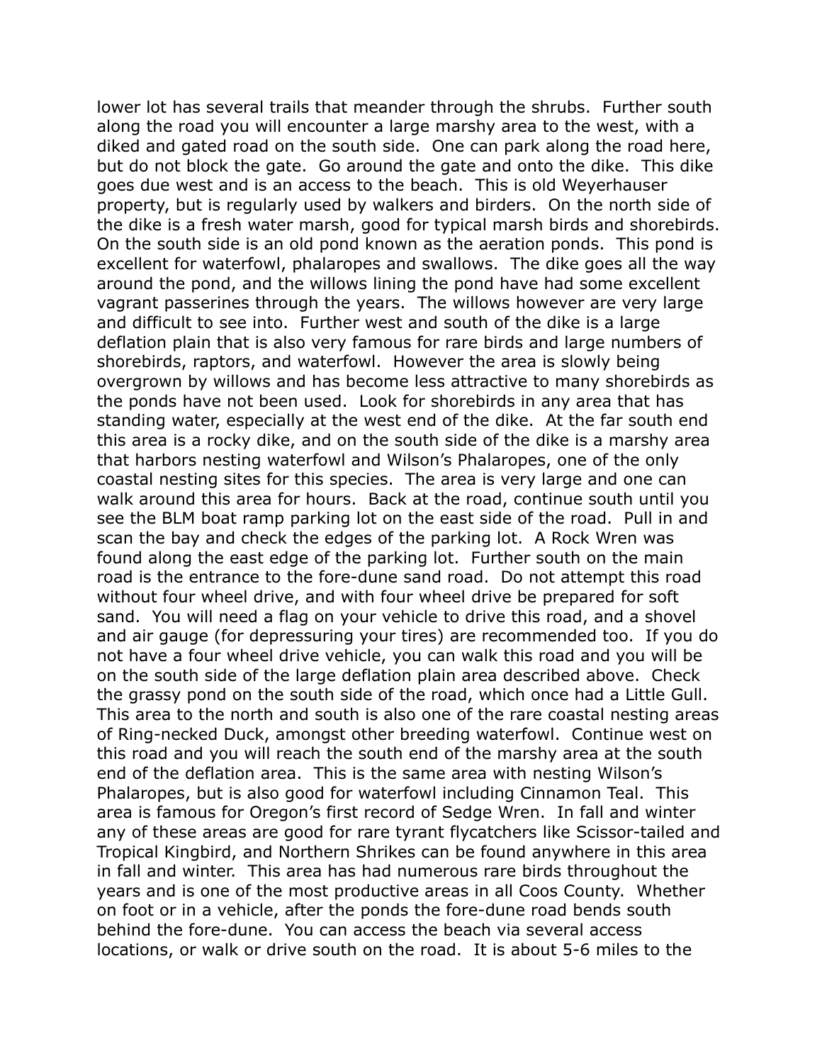lower lot has several trails that meander through the shrubs. Further south along the road you will encounter a large marshy area to the west, with a diked and gated road on the south side. One can park along the road here, but do not block the gate. Go around the gate and onto the dike. This dike goes due west and is an access to the beach. This is old Weyerhauser property, but is regularly used by walkers and birders. On the north side of the dike is a fresh water marsh, good for typical marsh birds and shorebirds. On the south side is an old pond known as the aeration ponds. This pond is excellent for waterfowl, phalaropes and swallows. The dike goes all the way around the pond, and the willows lining the pond have had some excellent vagrant passerines through the years. The willows however are very large and difficult to see into. Further west and south of the dike is a large deflation plain that is also very famous for rare birds and large numbers of shorebirds, raptors, and waterfowl. However the area is slowly being overgrown by willows and has become less attractive to many shorebirds as the ponds have not been used. Look for shorebirds in any area that has standing water, especially at the west end of the dike. At the far south end this area is a rocky dike, and on the south side of the dike is a marshy area that harbors nesting waterfowl and Wilson's Phalaropes, one of the only coastal nesting sites for this species. The area is very large and one can walk around this area for hours. Back at the road, continue south until you see the BLM boat ramp parking lot on the east side of the road. Pull in and scan the bay and check the edges of the parking lot. A Rock Wren was found along the east edge of the parking lot. Further south on the main road is the entrance to the fore-dune sand road. Do not attempt this road without four wheel drive, and with four wheel drive be prepared for soft sand. You will need a flag on your vehicle to drive this road, and a shovel and air gauge (for depressuring your tires) are recommended too. If you do not have a four wheel drive vehicle, you can walk this road and you will be on the south side of the large deflation plain area described above. Check the grassy pond on the south side of the road, which once had a Little Gull. This area to the north and south is also one of the rare coastal nesting areas of Ring-necked Duck, amongst other breeding waterfowl. Continue west on this road and you will reach the south end of the marshy area at the south end of the deflation area. This is the same area with nesting Wilson's Phalaropes, but is also good for waterfowl including Cinnamon Teal. This area is famous for Oregon's first record of Sedge Wren. In fall and winter any of these areas are good for rare tyrant flycatchers like Scissor-tailed and Tropical Kingbird, and Northern Shrikes can be found anywhere in this area in fall and winter. This area has had numerous rare birds throughout the years and is one of the most productive areas in all Coos County. Whether on foot or in a vehicle, after the ponds the fore-dune road bends south behind the fore-dune. You can access the beach via several access locations, or walk or drive south on the road. It is about 5-6 miles to the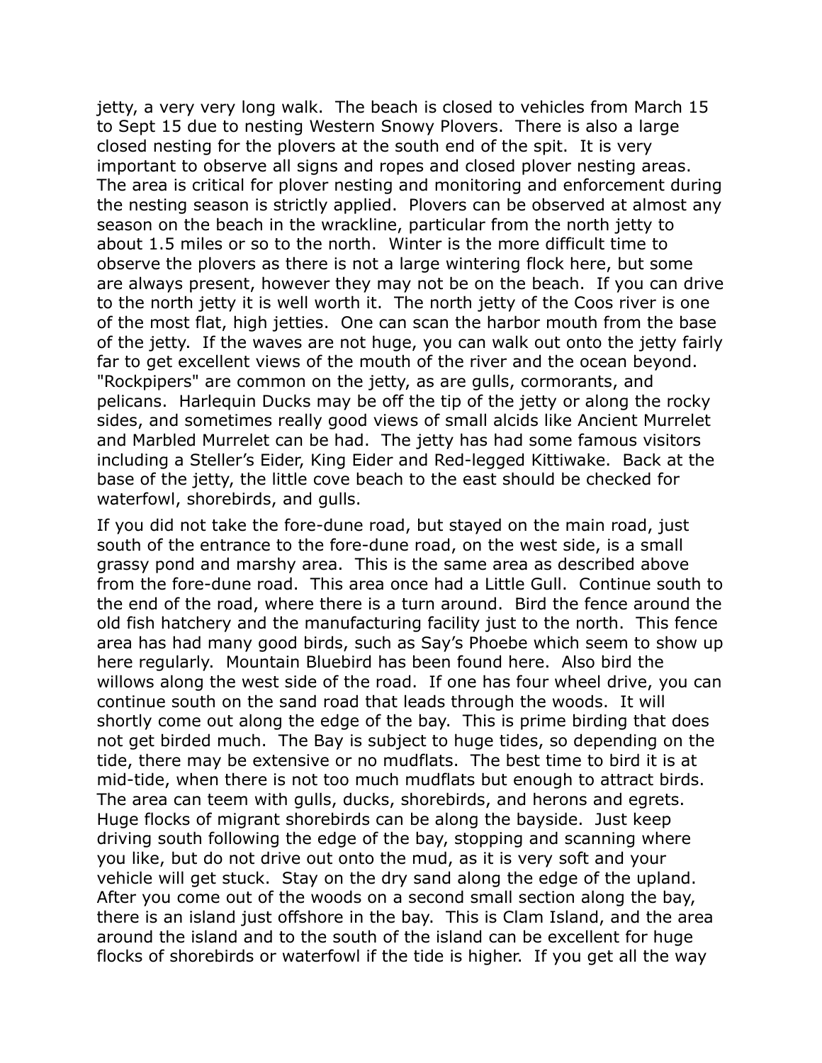jetty, a very very long walk. The beach is closed to vehicles from March 15 to Sept 15 due to nesting Western Snowy Plovers. There is also a large closed nesting for the plovers at the south end of the spit. It is very important to observe all signs and ropes and closed plover nesting areas. The area is critical for plover nesting and monitoring and enforcement during the nesting season is strictly applied. Plovers can be observed at almost any season on the beach in the wrackline, particular from the north jetty to about 1.5 miles or so to the north. Winter is the more difficult time to observe the plovers as there is not a large wintering flock here, but some are always present, however they may not be on the beach. If you can drive to the north jetty it is well worth it. The north jetty of the Coos river is one of the most flat, high jetties. One can scan the harbor mouth from the base of the jetty. If the waves are not huge, you can walk out onto the jetty fairly far to get excellent views of the mouth of the river and the ocean beyond. "Rockpipers" are common on the jetty, as are gulls, cormorants, and pelicans. Harlequin Ducks may be off the tip of the jetty or along the rocky sides, and sometimes really good views of small alcids like Ancient Murrelet and Marbled Murrelet can be had. The jetty has had some famous visitors including a Steller's Eider, King Eider and Red-legged Kittiwake. Back at the base of the jetty, the little cove beach to the east should be checked for waterfowl, shorebirds, and gulls.

If you did not take the fore-dune road, but stayed on the main road, just south of the entrance to the fore-dune road, on the west side, is a small grassy pond and marshy area. This is the same area as described above from the fore-dune road. This area once had a Little Gull. Continue south to the end of the road, where there is a turn around. Bird the fence around the old fish hatchery and the manufacturing facility just to the north. This fence area has had many good birds, such as Say's Phoebe which seem to show up here regularly. Mountain Bluebird has been found here. Also bird the willows along the west side of the road. If one has four wheel drive, you can continue south on the sand road that leads through the woods. It will shortly come out along the edge of the bay. This is prime birding that does not get birded much. The Bay is subject to huge tides, so depending on the tide, there may be extensive or no mudflats. The best time to bird it is at mid-tide, when there is not too much mudflats but enough to attract birds. The area can teem with gulls, ducks, shorebirds, and herons and egrets. Huge flocks of migrant shorebirds can be along the bayside. Just keep driving south following the edge of the bay, stopping and scanning where you like, but do not drive out onto the mud, as it is very soft and your vehicle will get stuck. Stay on the dry sand along the edge of the upland. After you come out of the woods on a second small section along the bay, there is an island just offshore in the bay. This is Clam Island, and the area around the island and to the south of the island can be excellent for huge flocks of shorebirds or waterfowl if the tide is higher. If you get all the way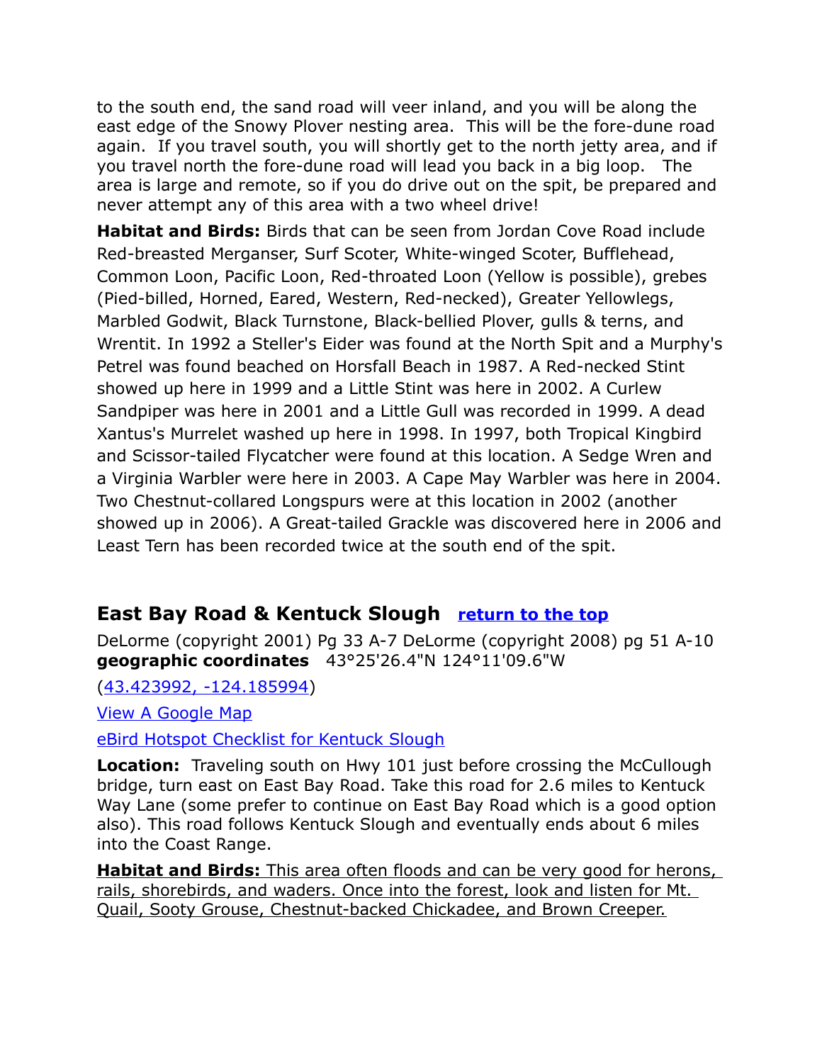to the south end, the sand road will veer inland, and you will be along the east edge of the Snowy Plover nesting area. This will be the fore-dune road again. If you travel south, you will shortly get to the north jetty area, and if you travel north the fore-dune road will lead you back in a big loop. The area is large and remote, so if you do drive out on the spit, be prepared and never attempt any of this area with a two wheel drive!

**Habitat and Birds:** Birds that can be seen from Jordan Cove Road include Red-breasted Merganser, Surf Scoter, White-winged Scoter, Bufflehead, Common Loon, Pacific Loon, Red-throated Loon (Yellow is possible), grebes (Pied-billed, Horned, Eared, Western, Red-necked), Greater Yellowlegs, Marbled Godwit, Black Turnstone, Black-bellied Plover, gulls & terns, and Wrentit. In 1992 a Steller's Eider was found at the North Spit and a Murphy's Petrel was found beached on Horsfall Beach in 1987. A Red-necked Stint showed up here in 1999 and a Little Stint was here in 2002. A Curlew Sandpiper was here in 2001 and a Little Gull was recorded in 1999. A dead Xantus's Murrelet washed up here in 1998. In 1997, both Tropical Kingbird and Scissor-tailed Flycatcher were found at this location. A Sedge Wren and a Virginia Warbler were here in 2003. A Cape May Warbler was here in 2004. Two Chestnut-collared Longspurs were at this location in 2002 (another showed up in 2006). A Great-tailed Grackle was discovered here in 2006 and Least Tern has been recorded twice at the south end of the spit.

# <span id="page-7-0"></span>**East Bay Road & Kentuck Slough [return to the top](#page-0-0)**

DeLorme (copyright 2001) Pg 33 A-7 DeLorme (copyright 2008) pg 51 A-10 **geographic coordinates** 43°25'26.4"N 124°11'09.6"W

[\(43.423992, -124.185994\)](https://www.google.com/maps/place/43%C2%B025)

[View A Google Map](http://maps.google.com/maps/ms?hl=en&ie=UTF8&msa=0&msid=108036481085398338899.0004798af522b131379e4&%20spn=0.095389,0.264187&z=13)

[eBird Hotspot Checklist for Kentuck Slough](http://ebird.org/ebird/hotspot/L855391)

**Location:** Traveling south on Hwy 101 just before crossing the McCullough bridge, turn east on East Bay Road. Take this road for 2.6 miles to Kentuck Way Lane (some prefer to continue on East Bay Road which is a good option also). This road follows Kentuck Slough and eventually ends about 6 miles into the Coast Range.

**Habitat and Birds:** This area often floods and can be very good for herons, rails, shorebirds, and waders. Once into the forest, look and listen for Mt. Quail, Sooty Grouse, Chestnut-backed Chickadee, and Brown Creeper.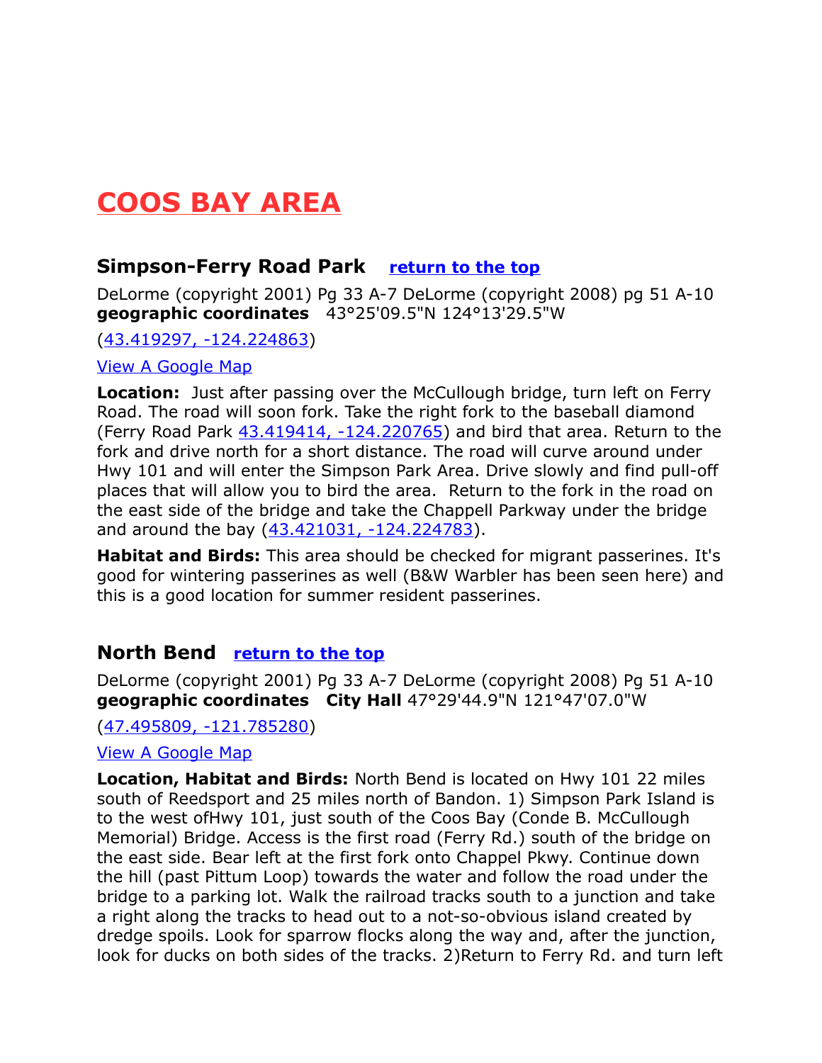# <span id="page-8-2"></span>**COOS BAY AREA**

# <span id="page-8-1"></span>**Simpson-Ferry Road Park [return to the top](#page-0-0)**

DeLorme (copyright 2001) Pg 33 A-7 DeLorme (copyright 2008) pg 51 A-10 **geographic coordinates** 43°25'09.5"N 124°13'29.5"W

[\(43.419297, -124.224863\)](https://www.google.com/maps/place/43%C2%B025)

#### [View A Google Map](http://maps.google.com/maps/ms?hl=en&ie=UTF8&msa=0&msid=108036481085398338899.0004798af522b131379e4&%20spn=0.095389,0.264187&z=13)

**Location:** Just after passing over the McCullough bridge, turn left on Ferry Road. The road will soon fork. Take the right fork to the baseball diamond (Ferry Road Park  $43.419414$ ,  $-124.220765$ ) and bird that area. Return to the fork and drive north for a short distance. The road will curve around under Hwy 101 and will enter the Simpson Park Area. Drive slowly and find pull-off places that will allow you to bird the area.Return to the fork in the road on the east side of the bridge and take the Chappell Parkway under the bridge and around the bay [\(43.421031, -124.224783\)](https://www.google.com/maps/place/43%C2%B025).

**Habitat and Birds:** This area should be checked for migrant passerines. It's good for wintering passerines as well (B&W Warbler has been seen here) and this is a good location for summer resident passerines.

## <span id="page-8-0"></span>**North Bend [return to the top](#page-0-0)**

DeLorme (copyright 2001) Pg 33 A-7 DeLorme (copyright 2008) Pg 51 A-10 **geographic coordinates City Hall** 47°29'44.9"N 121°47'07.0"W

[\(47.495809, -121.785280\)](https://www.google.com/maps/place/47%C2%B029)

#### [View A Google Map](http://maps.google.com/maps/ms?hl=en&ie=UTF8&msa=0&spn=0.190939,0.528374&z=12&msid=108036481085398338899.000479910a3f13594fa2e)

**Location, Habitat and Birds:** North Bend is located on Hwy 101 22 miles south of Reedsport and 25 miles north of Bandon. 1) Simpson Park Island is to the west ofHwy 101, just south of the Coos Bay (Conde B. McCullough Memorial) Bridge. Access is the first road (Ferry Rd.) south of the bridge on the east side. Bear left at the first fork onto Chappel Pkwy. Continue down the hill (past Pittum Loop) towards the water and follow the road under the bridge to a parking lot. Walk the railroad tracks south to a junction and take a right along the tracks to head out to a not-so-obvious island created by dredge spoils. Look for sparrow flocks along the way and, after the junction, look for ducks on both sides of the tracks. 2)Return to Ferry Rd. and turn left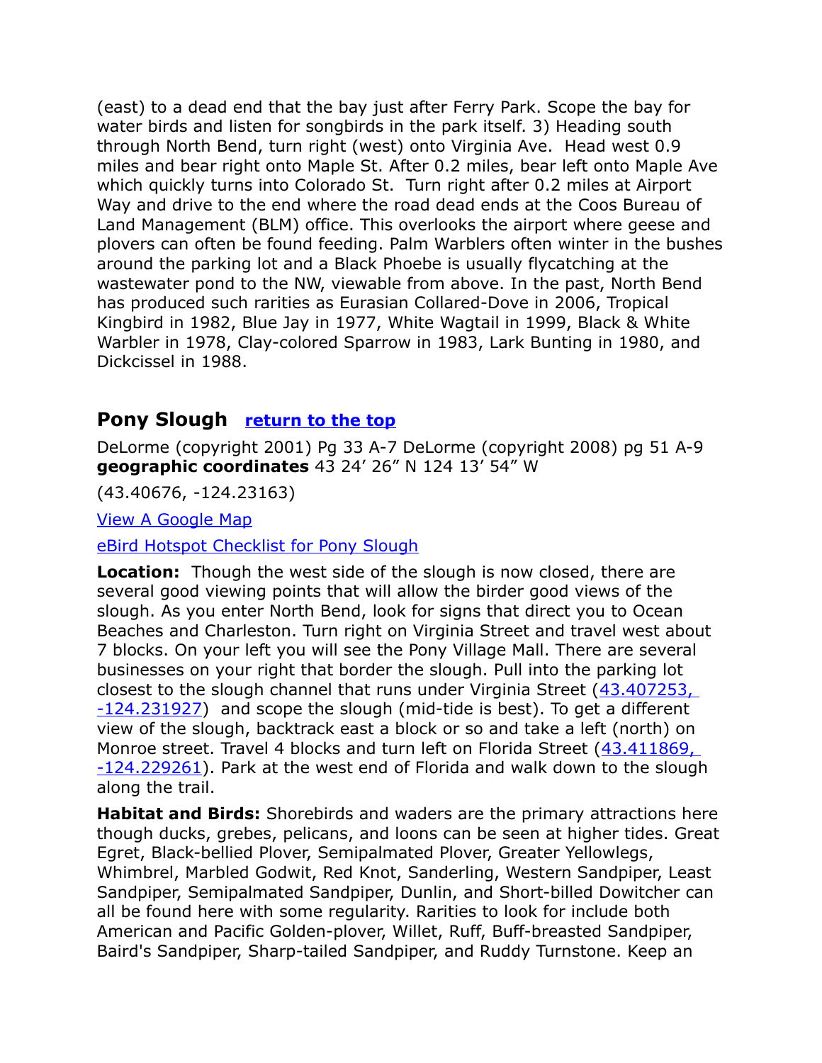(east) to a dead end that the bay just after Ferry Park. Scope the bay for water birds and listen for songbirds in the park itself. 3) Heading south through North Bend, turn right (west) onto Virginia Ave. Head west 0.9 miles and bear right onto Maple St. After 0.2 miles, bear left onto Maple Ave which quickly turns into Colorado St. Turn right after 0.2 miles at Airport Way and drive to the end where the road dead ends at the Coos Bureau of Land Management (BLM) office. This overlooks the airport where geese and plovers can often be found feeding. Palm Warblers often winter in the bushes around the parking lot and a Black Phoebe is usually flycatching at the wastewater pond to the NW, viewable from above. In the past, North Bend has produced such rarities as Eurasian Collared-Dove in 2006, Tropical Kingbird in 1982, Blue Jay in 1977, White Wagtail in 1999, Black & White Warbler in 1978, Clay-colored Sparrow in 1983, Lark Bunting in 1980, and Dickcissel in 1988.

# <span id="page-9-0"></span>**Pony Slough [return to the top](#page-0-0)**

DeLorme (copyright 2001) Pg 33 A-7 DeLorme (copyright 2008) pg 51 A-9 **geographic coordinates** 43 24' 26" N 124 13' 54" W

(43.40676, -124.23163)

[View A Google Map](http://maps.google.com/maps/ms?hl=en&ie=UTF8&msa=0&spn=0.190939,0.528374&z=12&msid=108036481085398338899.000479910a3f13594fa2e)

[eBird Hotspot Checklist for Pony Slough](http://ebird.org/ebird/hotspot/L855389)

**Location:** Though the west side of the slough is now closed, there are several good viewing points that will allow the birder good views of the slough. As you enter North Bend, look for signs that direct you to Ocean Beaches and Charleston. Turn right on Virginia Street and travel west about 7 blocks. On your left you will see the Pony Village Mall. There are several businesses on your right that border the slough. Pull into the parking lot closest to the slough channel that runs under Virginia Street [\(43.407253,](https://www.google.com/maps/place/43%C2%B024)  [-124.231927\)](https://www.google.com/maps/place/43%C2%B024) and scope the slough (mid-tide is best). To get a different view of the slough, backtrack east a block or so and take a left (north) on Monroe street. Travel 4 blocks and turn left on Florida Street [\(43.411869,](https://www.google.com/maps/place/43%C2%B024)  [-124.229261\)](https://www.google.com/maps/place/43%C2%B024). Park at the west end of Florida and walk down to the slough along the trail.

**Habitat and Birds:** Shorebirds and waders are the primary attractions here though ducks, grebes, pelicans, and loons can be seen at higher tides. Great Egret, Black-bellied Plover, Semipalmated Plover, Greater Yellowlegs, Whimbrel, Marbled Godwit, Red Knot, Sanderling, Western Sandpiper, Least Sandpiper, Semipalmated Sandpiper, Dunlin, and Short-billed Dowitcher can all be found here with some regularity. Rarities to look for include both American and Pacific Golden-plover, Willet, Ruff, Buff-breasted Sandpiper, Baird's Sandpiper, Sharp-tailed Sandpiper, and Ruddy Turnstone. Keep an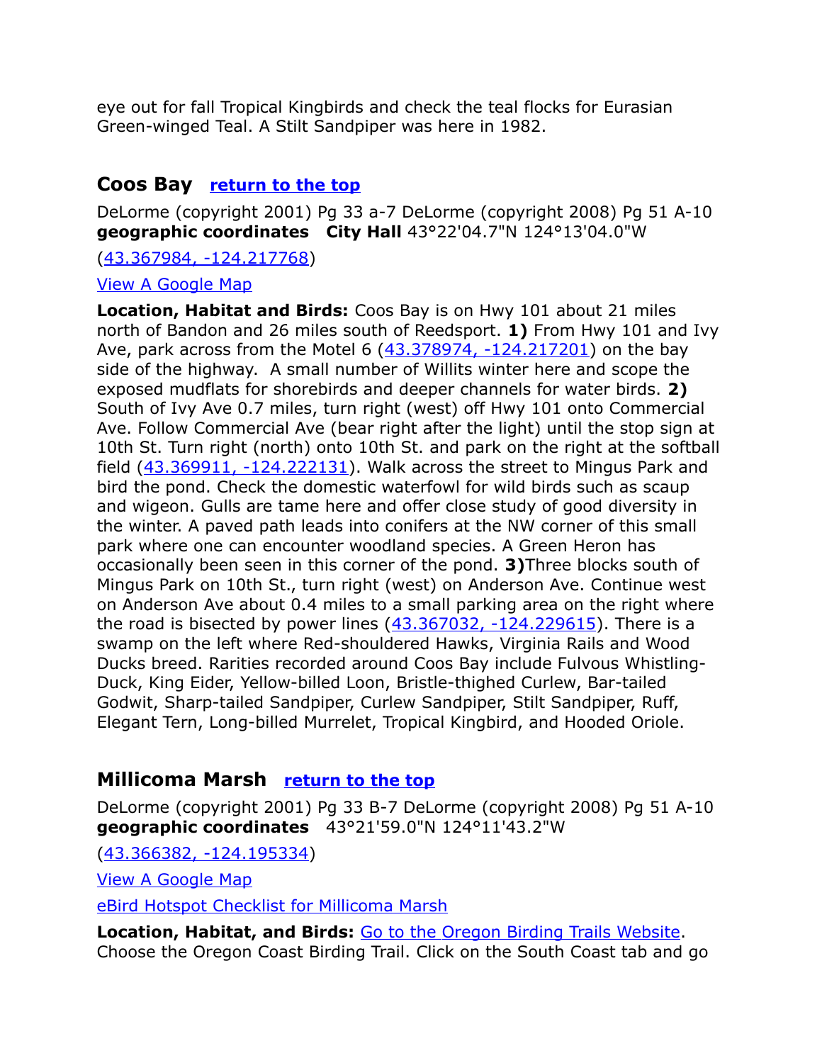eye out for fall Tropical Kingbirds and check the teal flocks for Eurasian Green-winged Teal. A Stilt Sandpiper was here in 1982.

# <span id="page-10-1"></span>**Coos Bay [return to the top](#page-0-0)**

DeLorme (copyright 2001) Pg 33 a-7 DeLorme (copyright 2008) Pg 51 A-10 **geographic coordinates City Hall** 43°22'04.7"N 124°13'04.0"W

[\(43.367984, -124.217768\)](https://www.google.com/maps/place/43%C2%B022)

[View A Google Map](http://maps.google.com/maps/ms?hl=en&ie=UTF8&msa=0&spn=0.190939,0.528374&z=12&msid=108036481085398338899.000479910a3f13594fa2e)

**Location, Habitat and Birds:** Coos Bay is on Hwy 101 about 21 miles north of Bandon and 26 miles south of Reedsport. **1)** From Hwy 101 and Ivy Ave, park across from the Motel 6 [\(43.378974, -124.217201\)](https://www.google.com/maps/place/43%C2%B022) on the bay side of the highway. A small number of Willits winter here and scope the exposed mudflats for shorebirds and deeper channels for water birds. **2)** South of Ivy Ave 0.7 miles, turn right (west) off Hwy 101 onto Commercial Ave. Follow Commercial Ave (bear right after the light) until the stop sign at 10th St. Turn right (north) onto 10th St. and park on the right at the softball field  $(43.369911, -124.222131)$ . Walk across the street to Mingus Park and bird the pond. Check the domestic waterfowl for wild birds such as scaup and wigeon. Gulls are tame here and offer close study of good diversity in the winter. A paved path leads into conifers at the NW corner of this small park where one can encounter woodland species. A Green Heron has occasionally been seen in this corner of the pond. **3)**Three blocks south of Mingus Park on 10th St., turn right (west) on Anderson Ave. Continue west on Anderson Ave about 0.4 miles to a small parking area on the right where the road is bisected by power lines  $(43.367032, -124.229615)$ . There is a swamp on the left where Red-shouldered Hawks, Virginia Rails and Wood Ducks breed. Rarities recorded around Coos Bay include Fulvous Whistling-Duck, King Eider, Yellow-billed Loon, Bristle-thighed Curlew, Bar-tailed Godwit, Sharp-tailed Sandpiper, Curlew Sandpiper, Stilt Sandpiper, Ruff, Elegant Tern, Long-billed Murrelet, Tropical Kingbird, and Hooded Oriole.

# <span id="page-10-0"></span>**Millicoma Marsh [return to the top](#page-0-0)**

DeLorme (copyright 2001) Pg 33 B-7 DeLorme (copyright 2008) Pg 51 A-10 **geographic coordinates** 43°21'59.0"N 124°11'43.2"W

[\(43.366382, -124.195334\)](https://www.google.com/maps/place/43%C2%B021)

[View A Google Map](http://maps.google.com/maps/ms?ie=UTF8&hl=en&msa=0&msid=108036481085398338899.00046b4f4aaa3b7f18518&ll=43.386587,-124.199753&spn=0.340325,0.55481&z=11)

[eBird Hotspot Checklist for Millicoma Marsh](http://ebird.org/ebird/hotspot/L743272)

**Location, Habitat, and Birds:** [Go to the Oregon Birding Trails Website.](http://www.oregonbirdingtrails.org/) Choose the Oregon Coast Birding Trail. Click on the South Coast tab and go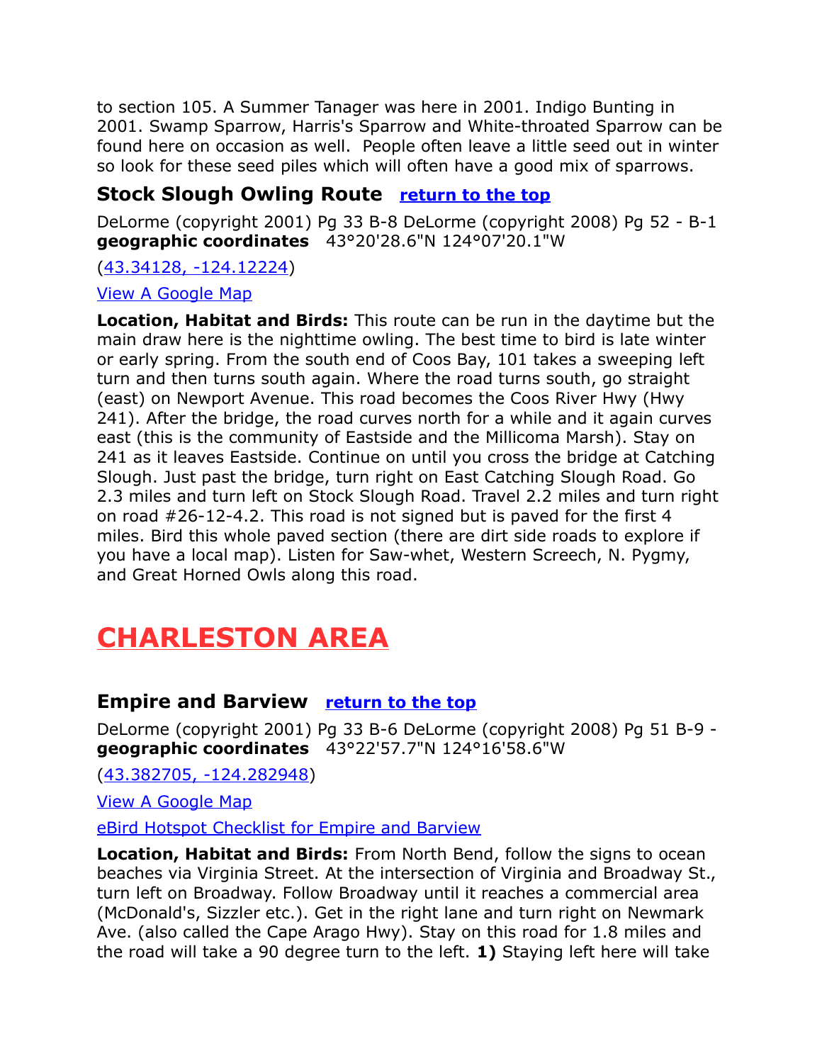to section 105. A Summer Tanager was here in 2001. Indigo Bunting in 2001. Swamp Sparrow, Harris's Sparrow and White-throated Sparrow can be found here on occasion as well. People often leave a little seed out in winter so look for these seed piles which will often have a good mix of sparrows.

# <span id="page-11-2"></span>**Stock Slough Owling Route [return to the top](#page-0-0)**

DeLorme (copyright 2001) Pg 33 B-8 DeLorme (copyright 2008) Pg 52 - B-1 **geographic coordinates** 43°20'28.6"N 124°07'20.1"W

#### [\(43.34128, -124.12224\)](https://www.google.com/maps/place/43%C2%B020)

#### [View A Google Map](http://maps.google.com/maps/ms?hl=en&ie=UTF8&msa=0&ll=43.317684,-124.015045&spn=0.191088,0.528374&z=12&msid=108036481085398338899.0004798ae22d4d553f074)

**Location, Habitat and Birds:** This route can be run in the daytime but the main draw here is the nighttime owling. The best time to bird is late winter or early spring. From the south end of Coos Bay, 101 takes a sweeping left turn and then turns south again. Where the road turns south, go straight (east) on Newport Avenue. This road becomes the Coos River Hwy (Hwy 241). After the bridge, the road curves north for a while and it again curves east (this is the community of Eastside and the Millicoma Marsh). Stay on 241 as it leaves Eastside. Continue on until you cross the bridge at Catching Slough. Just past the bridge, turn right on East Catching Slough Road. Go 2.3 miles and turn left on Stock Slough Road. Travel 2.2 miles and turn right on road #26-12-4.2. This road is not signed but is paved for the first 4 miles. Bird this whole paved section (there are dirt side roads to explore if you have a local map). Listen for Saw-whet, Western Screech, N. Pygmy, and Great Horned Owls along this road.

# <span id="page-11-1"></span>**CHARLESTON AREA**

# <span id="page-11-0"></span>**Empire and Barview [return to the top](#page-0-0)**

DeLorme (copyright 2001) Pg 33 B-6 DeLorme (copyright 2008) Pg 51 B-9 **geographic coordinates** 43°22'57.7"N 124°16'58.6"W

[\(43.382705, -124.282948\)](https://www.google.com/maps/place/43%C2%B022)

[View A Google Map](http://maps.google.com/maps/ms?hl=en&ie=UTF8&msa=0&spn=0.198302,0.528374&z=12&msid=108036481085398338899.00047989ef81125bbf4da)

[eBird Hotspot Checklist for Empire and Barview](http://ebird.org/ebird/hotspot/L2339838)

**Location, Habitat and Birds:** From North Bend, follow the signs to ocean beaches via Virginia Street. At the intersection of Virginia and Broadway St., turn left on Broadway. Follow Broadway until it reaches a commercial area (McDonald's, Sizzler etc.). Get in the right lane and turn right on Newmark Ave. (also called the Cape Arago Hwy). Stay on this road for 1.8 miles and the road will take a 90 degree turn to the left. **1)** Staying left here will take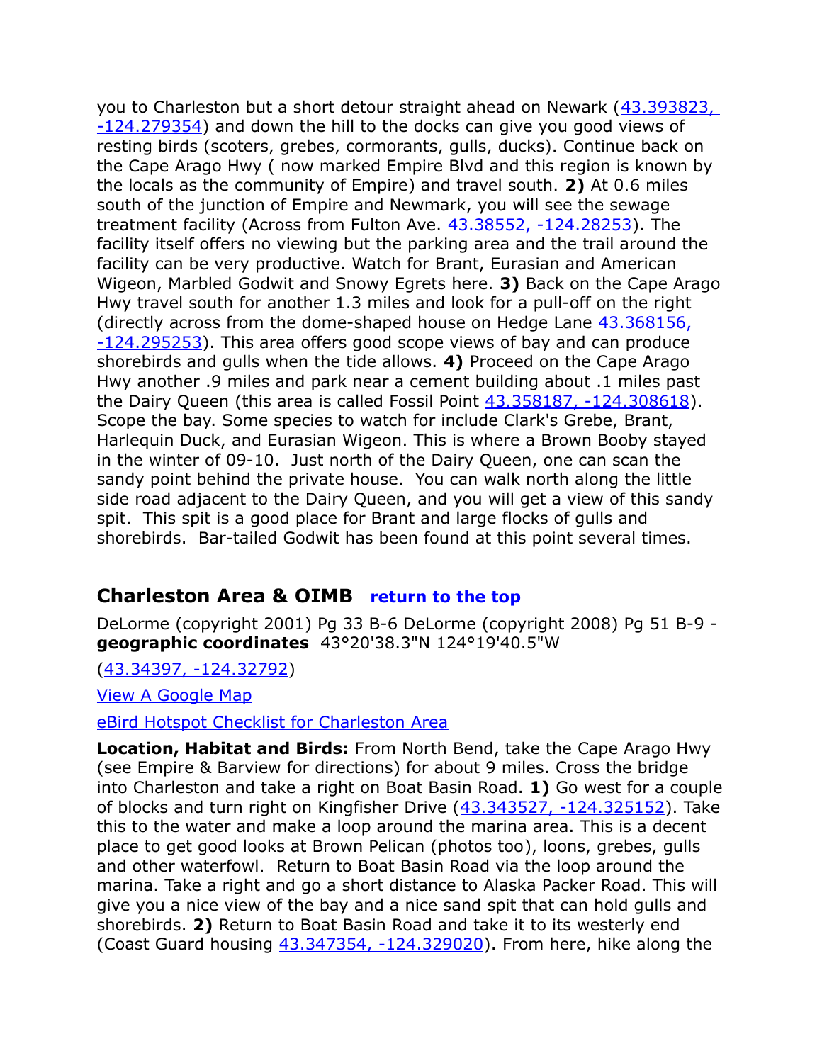you to Charleston but a short detour straight ahead on Newark [\(43.393823,](https://www.google.com/maps/place/43%C2%B023)  [-124.279354\)](https://www.google.com/maps/place/43%C2%B023) and down the hill to the docks can give you good views of resting birds (scoters, grebes, cormorants, gulls, ducks). Continue back on the Cape Arago Hwy ( now marked Empire Blvd and this region is known by the locals as the community of Empire) and travel south. **2)** At 0.6 miles south of the junction of Empire and Newmark, you will see the sewage treatment facility (Across from Fulton Ave. [43.38552, -124.28253\)](https://www.google.com/maps/place/43%C2%B023). The facility itself offers no viewing but the parking area and the trail around the facility can be very productive. Watch for Brant, Eurasian and American Wigeon, Marbled Godwit and Snowy Egrets here. **3)** Back on the Cape Arago Hwy travel south for another 1.3 miles and look for a pull-off on the right (directly across from the dome-shaped house on Hedge Lane 43.368156, [-124.295253\)](https://www.google.com/maps/place/43%C2%B022). This area offers good scope views of bay and can produce shorebirds and gulls when the tide allows. **4)** Proceed on the Cape Arago Hwy another .9 miles and park near a cement building about .1 miles past the Dairy Queen (this area is called Fossil Point  $43.358187$ ,  $-124.308618$ ). Scope the bay. Some species to watch for include Clark's Grebe, Brant, Harlequin Duck, and Eurasian Wigeon. This is where a Brown Booby stayed in the winter of 09-10. Just north of the Dairy Queen, one can scan the sandy point behind the private house. You can walk north along the little side road adjacent to the Dairy Queen, and you will get a view of this sandy spit. This spit is a good place for Brant and large flocks of gulls and shorebirds. Bar-tailed Godwit has been found at this point several times.

## <span id="page-12-0"></span>**Charleston Area & OIMB [return to the top](#page-0-0)**

DeLorme (copyright 2001) Pg 33 B-6 DeLorme (copyright 2008) Pg 51 B-9 **geographic coordinates** 43°20'38.3"N 124°19'40.5"W

[\(43.34397, -124.32792\)](https://www.google.com/maps/place/43%C2%B020)

[View A Google Map](http://maps.google.com/maps/ms?hl=en&ie=UTF8&msa=0&spn=0.198302,0.528374&z=12&msid=108036481085398338899.00047989ef81125bbf4da) 

[eBird Hotspot Checklist for Charleston Area](http://ebird.org/ebird/hotspot/L798559)

**Location, Habitat and Birds:** From North Bend, take the Cape Arago Hwy (see Empire & Barview for directions) for about 9 miles. Cross the bridge into Charleston and take a right on Boat Basin Road. **1)** Go west for a couple of blocks and turn right on Kingfisher Drive [\(43.343527, -124.325152\)](https://www.google.com/maps/place/43%C2%B020). Take this to the water and make a loop around the marina area. This is a decent place to get good looks at Brown Pelican (photos too), loons, grebes, gulls and other waterfowl. Return to Boat Basin Road via the loop around the marina. Take a right and go a short distance to Alaska Packer Road. This will give you a nice view of the bay and a nice sand spit that can hold gulls and shorebirds. **2)** Return to Boat Basin Road and take it to its westerly end (Coast Guard housing [43.347354, -124.329020\)](https://www.google.com/maps/place/43%C2%B020). From here, hike along the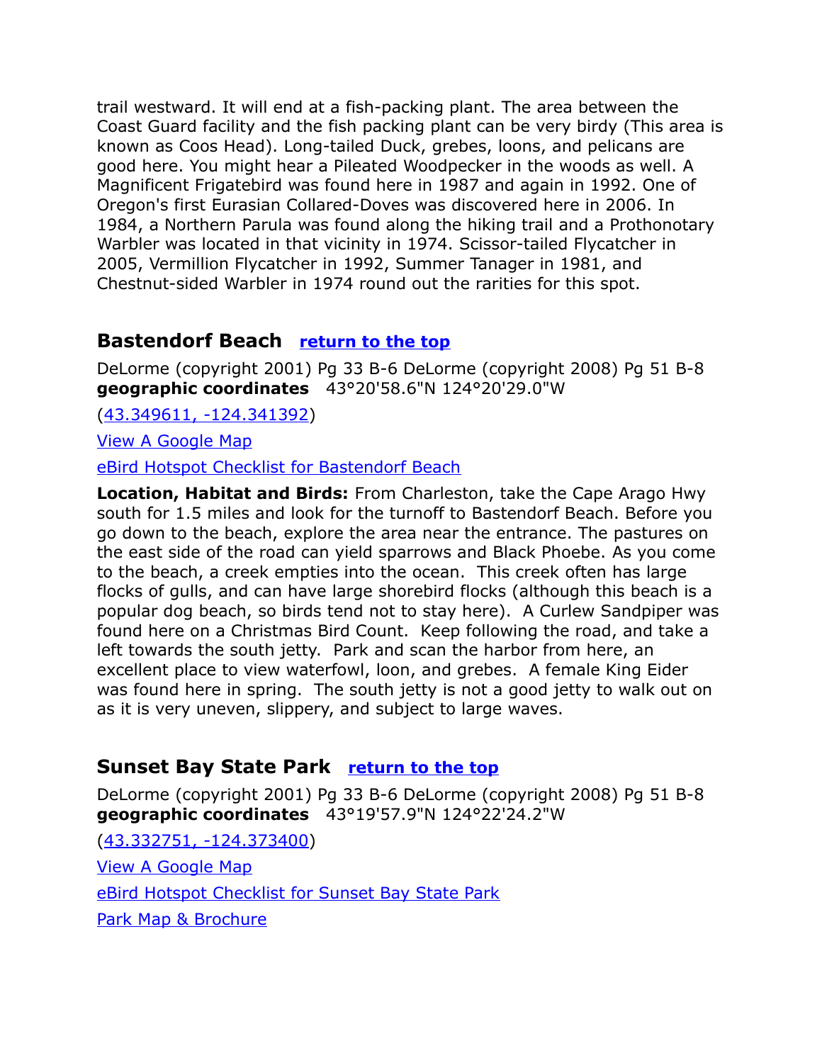trail westward. It will end at a fish-packing plant. The area between the Coast Guard facility and the fish packing plant can be very birdy (This area is known as Coos Head). Long-tailed Duck, grebes, loons, and pelicans are good here. You might hear a Pileated Woodpecker in the woods as well. A Magnificent Frigatebird was found here in 1987 and again in 1992. One of Oregon's first Eurasian Collared-Doves was discovered here in 2006. In 1984, a Northern Parula was found along the hiking trail and a Prothonotary Warbler was located in that vicinity in 1974. Scissor-tailed Flycatcher in 2005, Vermillion Flycatcher in 1992, Summer Tanager in 1981, and Chestnut-sided Warbler in 1974 round out the rarities for this spot.

# <span id="page-13-1"></span>**Bastendorf Beach [return to the top](#page-0-0)**

DeLorme (copyright 2001) Pg 33 B-6 DeLorme (copyright 2008) Pg 51 B-8 **geographic coordinates** 43°20'58.6"N 124°20'29.0"W

[\(43.349611, -124.341392\)](https://www.google.com/maps/place/43%C2%B020)

[View A Google Map](http://maps.google.com/maps/ms?hl=en&ie=UTF8&msa=0&spn=0.198302,0.528374&z=12&msid=108036481085398338899.00047989ef81125bbf4da)

[eBird Hotspot Checklist for Bastendorf Beach](http://ebird.org/ebird/hotspot/L2356727)

**Location, Habitat and Birds:** From Charleston, take the Cape Arago Hwy south for 1.5 miles and look for the turnoff to Bastendorf Beach. Before you go down to the beach, explore the area near the entrance. The pastures on the east side of the road can yield sparrows and Black Phoebe. As you come to the beach, a creek empties into the ocean. This creek often has large flocks of gulls, and can have large shorebird flocks (although this beach is a popular dog beach, so birds tend not to stay here). A Curlew Sandpiper was found here on a Christmas Bird Count. Keep following the road, and take a left towards the south jetty. Park and scan the harbor from here, an excellent place to view waterfowl, loon, and grebes. A female King Eider was found here in spring. The south jetty is not a good jetty to walk out on as it is very uneven, slippery, and subject to large waves.

# <span id="page-13-0"></span>**Sunset Bay State Park [return to the top](#page-0-0)**

DeLorme (copyright 2001) Pg 33 B-6 DeLorme (copyright 2008) Pg 51 B-8 **geographic coordinates** 43°19'57.9"N 124°22'24.2"W

[\(43.332751, -124.373400\)](https://www.google.com/maps/place/43%C2%B019) [View A Google Map](http://maps.google.com/maps/ms?ie=UTF8&hl=en&msa=0&msid=108036481085398338899.00046b4f4aaa3b7f18518&ll=43.386587,-124.199753&spn=0.340325,0.55481&z=11) [eBird Hotspot Checklist for Sunset Bay State Park](http://ebird.org/ebird/hotspot/L857508) [Park Map & Brochure](http://www.oregonstateparks.org/park_100.php)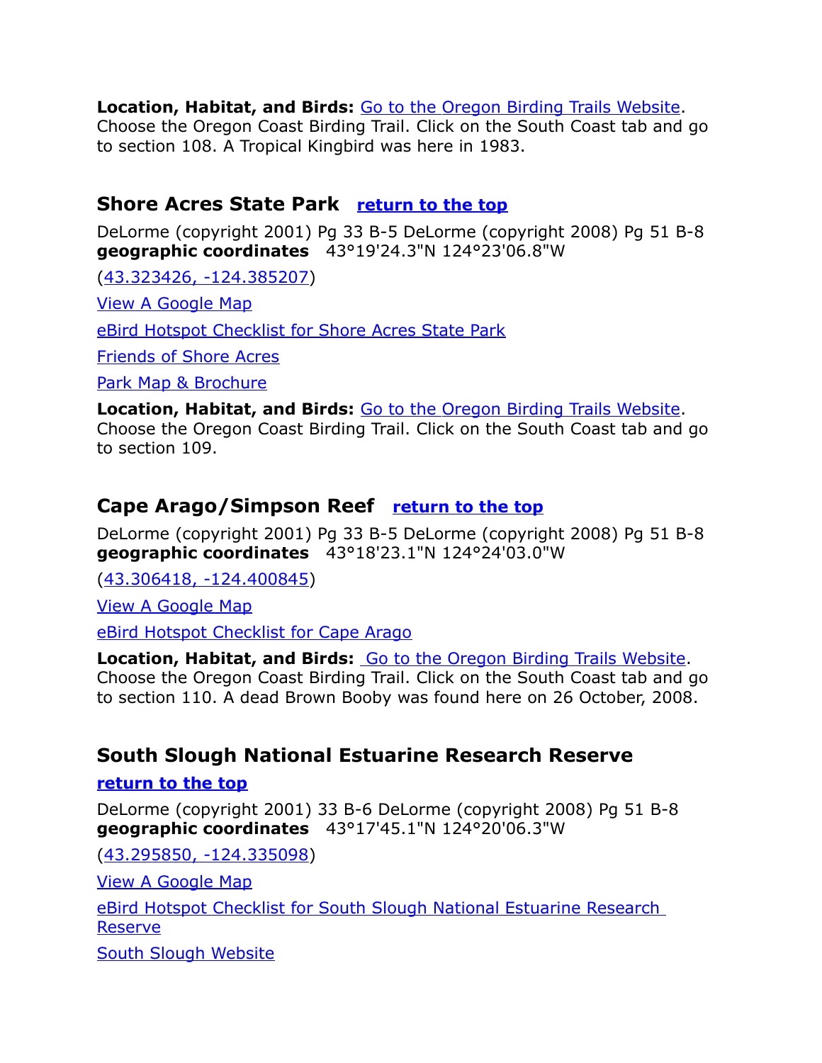**Location, Habitat, and Birds:** [Go to the Oregon Birding Trails Website.](http://www.oregonbirdingtrails.org/)

Choose the Oregon Coast Birding Trail. Click on the South Coast tab and go to section 108. A Tropical Kingbird was here in 1983.

# <span id="page-14-2"></span>**Shore Acres State Park [return to the top](#page-0-0)**

DeLorme (copyright 2001) Pg 33 B-5 DeLorme (copyright 2008) Pg 51 B-8 **geographic coordinates** 43°19'24.3"N 124°23'06.8"W

[\(43.323426, -124.385207\)](https://www.google.com/maps/place/43%C2%B019)

[View A Google Map](http://maps.google.com/maps/ms?ie=UTF8&hl=en&msa=0&msid=108036481085398338899.00046b4f4aaa3b7f18518&ll=43.386587,-124.199753&spn=0.340325,0.55481&z=11)

[eBird Hotspot Checklist for Shore Acres State Park](http://ebird.org/ebird/hotspot/L1371576)

[Friends of Shore Acres](http://www.shoreacres.net/)

[Park Map & Brochure](http://www.oregonstateparks.org/park_97.php)

**Location, Habitat, and Birds:** [Go to the Oregon Birding Trails Website.](http://www.oregonbirdingtrails.org/) Choose the Oregon Coast Birding Trail. Click on the South Coast tab and go to section 109.

# <span id="page-14-0"></span>**Cape Arago/Simpson Reef [return to the top](#page-0-0)**

DeLorme (copyright 2001) Pg 33 B-5 DeLorme (copyright 2008) Pg 51 B-8 **geographic coordinates** 43°18'23.1"N 124°24'03.0"W

[\(43.306418, -124.400845\)](https://www.google.com/maps/place/43%C2%B018)

[View A Google Map](http://maps.google.com/maps/ms?ie=UTF8&hl=en&msa=0&msid=108036481085398338899.00046b4f4aaa3b7f18518&ll=43.386587,-124.199753&spn=0.340325,0.55481&z=11)

[eBird Hotspot Checklist for Cape Arago](http://ebird.org/ebird/hotspot/L680973)

**Location, Habitat, and Birds:** [Go to the Oregon Birding Trails Website.](http://www.oregonbirdingtrails.org/) Choose the Oregon Coast Birding Trail. Click on the South Coast tab and go to section 110. A dead Brown Booby was found here on 26 October, 2008.

# <span id="page-14-1"></span>**South Slough National Estuarine Research Reserve**

#### <span id="page-14-3"></span>**[return to the top](#page-14-3)**

DeLorme (copyright 2001) 33 B-6 DeLorme (copyright 2008) Pg 51 B-8 **geographic coordinates** 43°17'45.1"N 124°20'06.3"W

[\(43.295850, -124.335098\)](https://www.google.com/maps/place/43%C2%B017)

[View A Google Map](http://maps.google.com/maps/ms?ie=UTF8&hl=en&msa=0&msid=108036481085398338899.00046b4f4aaa3b7f18518&ll=43.386587,-124.199753&spn=0.340325,0.55481&z=11)

[eBird Hotspot Checklist for South Slough National Estuarine Research](http://ebird.org/ebird/hotspot/L1060060)  [Reserve](http://ebird.org/ebird/hotspot/L1060060)

[South Slough Website](http://www.oregon.gov/DSL/SSNERR/interpcenter.shtml)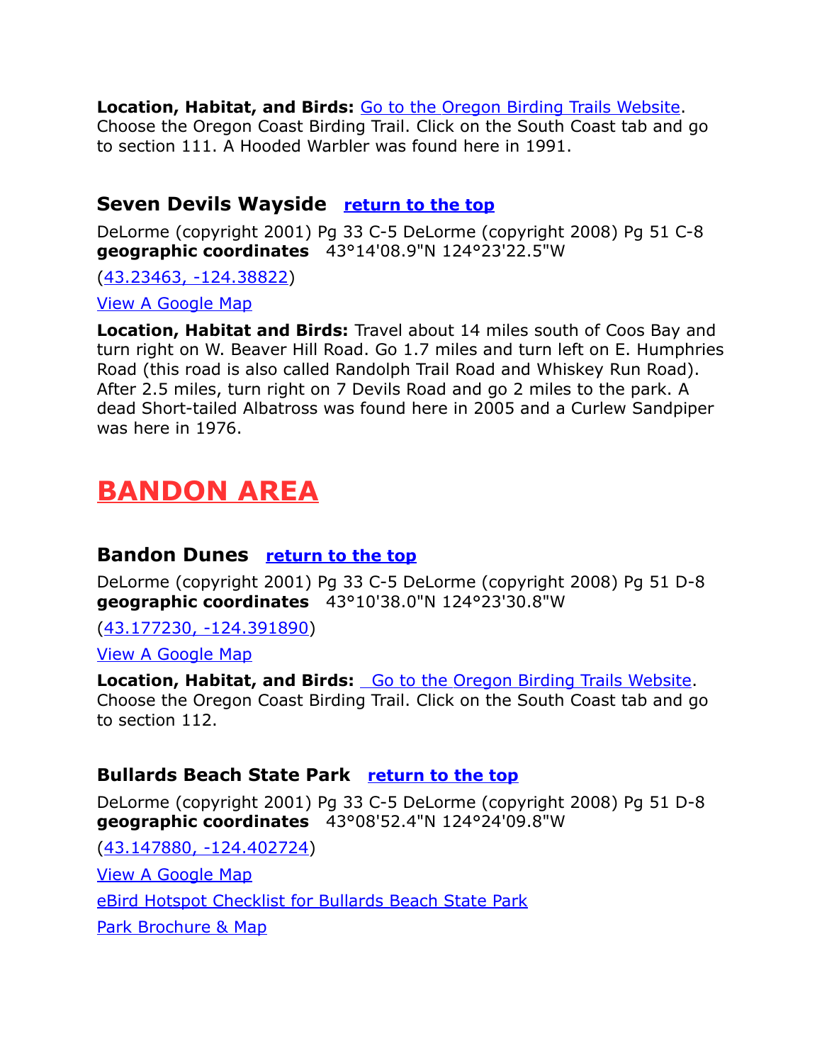**Location, Habitat, and Birds:** [Go to the Oregon Birding Trails Website.](http://www.oregonbirdingtrails.org/)

Choose the Oregon Coast Birding Trail. Click on the South Coast tab and go to section 111. A Hooded Warbler was found here in 1991.

## <span id="page-15-3"></span>**Seven Devils Wayside [return to the top](#page-0-0)**

DeLorme (copyright 2001) Pg 33 C-5 DeLorme (copyright 2008) Pg 51 C-8 **geographic coordinates** 43°14'08.9"N 124°23'22.5"W

[\(43.23463, -124.38822\)](https://www.google.com/maps/place/43%C2%B014)

View A Google Map

**Location, Habitat and Birds:** Travel about 14 miles south of Coos Bay and turn right on W. Beaver Hill Road. Go 1.7 miles and turn left on E. Humphries Road (this road is also called Randolph Trail Road and Whiskey Run Road). After 2.5 miles, turn right on 7 Devils Road and go 2 miles to the park. A dead Short-tailed Albatross was found here in 2005 and a Curlew Sandpiper was here in 1976.

# <span id="page-15-2"></span>**BANDON AREA**

#### <span id="page-15-1"></span>**Bandon Dunes [return to the top](#page-0-0)**

DeLorme (copyright 2001) Pg 33 C-5 DeLorme (copyright 2008) Pg 51 D-8 **geographic coordinates** 43°10'38.0"N 124°23'30.8"W

[\(43.177230, -124.391890\)](https://www.google.com/maps/place/43%C2%B010)

[View A Google Map](http://maps.google.com/maps/ms?ie=UTF8&hl=en&msa=0&msid=108036481085398338899.00046b4fd11c5d48967b1&ll=43.136443,-124.383945&spn=0.085431,0.138702&z=13)

**Location, Habitat, and Birds:** [Go to the Oregon Birding Trails Website.](http://www.oregonbirdingtrails.org/) Choose the Oregon Coast Birding Trail. Click on the South Coast tab and go to section 112.

#### <span id="page-15-0"></span>**Bullards Beach State Park [return to the top](#page-0-0)**

DeLorme (copyright 2001) Pg 33 C-5 DeLorme (copyright 2008) Pg 51 D-8 **geographic coordinates** 43°08'52.4"N 124°24'09.8"W

[\(43.147880, -124.402724\)](https://www.google.com/maps/place/43%C2%B008) [View A Google Map](http://maps.google.com/maps/ms?ie=UTF8&hl=en&msa=0&msid=108036481085398338899.00046b4fd11c5d48967b1&ll=43.136443,-124.383945&spn=0.085431,0.138702&z=13) [eBird Hotspot Checklist for Bullards Beach State Park](http://ebird.org/ebird/hotspot/L355346) [Park Brochure & Map](http://www.oregonstateparks.org/park_71.php)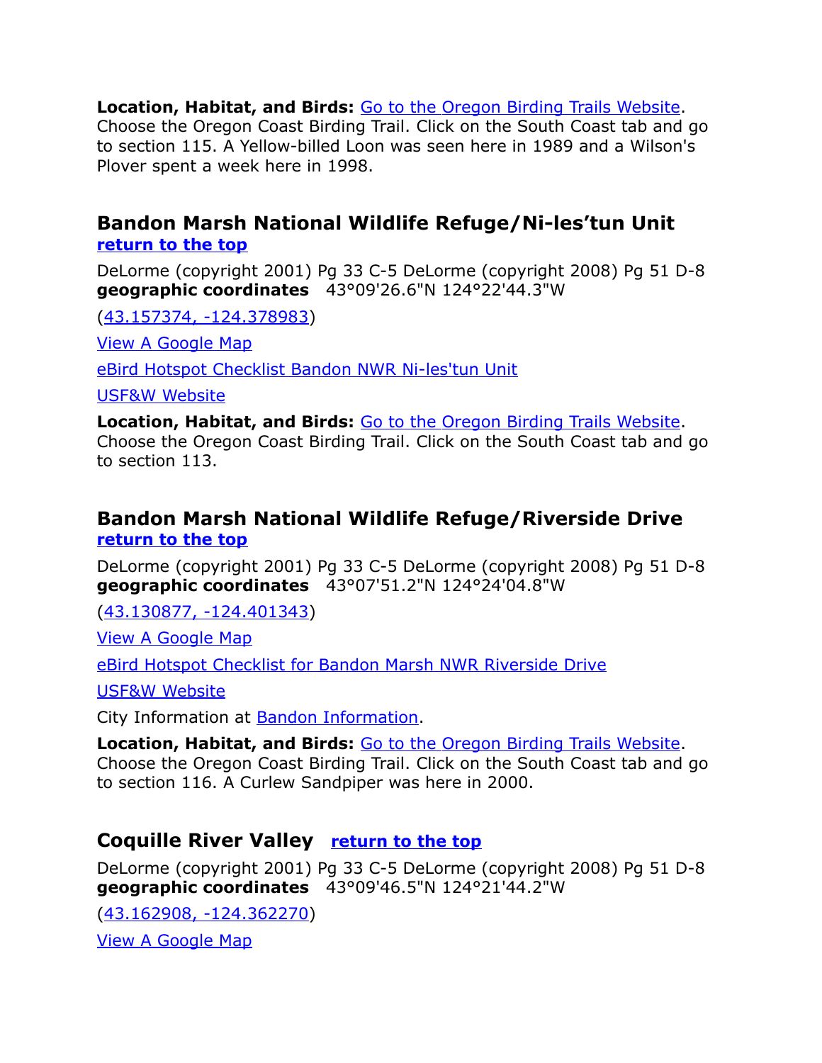**Location, Habitat, and Birds:** [Go to the Oregon Birding Trails Website.](http://www.oregonbirdingtrails.org/) Choose the Oregon Coast Birding Trail. Click on the South Coast tab and go to section 115. A Yellow-billed Loon was seen here in 1989 and a Wilson's Plover spent a week here in 1998.

#### <span id="page-16-2"></span>**Bandon Marsh National Wildlife Refuge/Ni-les'tun Unit [return to the top](#page-0-0)**

DeLorme (copyright 2001) Pg 33 C-5 DeLorme (copyright 2008) Pg 51 D-8 **geographic coordinates** 43°09'26.6"N 124°22'44.3"W

[\(43.157374, -124.378983\)](https://www.google.com/maps/place/43%C2%B009)

[View A Google Map](http://maps.google.com/maps/ms?ie=UTF8&hl=en&msa=0&msid=108036481085398338899.00046b4fd11c5d48967b1&ll=43.136443,-124.383945&spn=0.085431,0.138702&z=13)

[eBird Hotspot Checklist Bandon NWR Ni-les'tun Unit](http://ebird.org/ebird/hotspot/L570845)

[USF&W Website](http://www.fws.gov/oregoncoast/bandonmarsh/)

**Location, Habitat, and Birds:** [Go to the Oregon Birding Trails Website.](http://www.oregonbirdingtrails.org/) Choose the Oregon Coast Birding Trail. Click on the South Coast tab and go to section 113.

# <span id="page-16-0"></span>**Bandon Marsh National Wildlife Refuge/Riverside Drive [return to the top](#page-0-0)**

DeLorme (copyright 2001) Pg 33 C-5 DeLorme (copyright 2008) Pg 51 D-8 **geographic coordinates** 43°07'51.2"N 124°24'04.8"W

[\(43.130877, -124.401343\)](https://www.google.com/maps/place/43%C2%B007)

[View A Google Map](http://maps.google.com/maps/ms?ie=UTF8&hl=en&msa=0&msid=108036481085398338899.00046b4fd11c5d48967b1&ll=43.136443,-124.383945&spn=0.085431,0.138702&z=13)

[eBird Hotspot Checklist for Bandon Marsh NWR Riverside Drive](http://ebird.org/ebird/hotspot/L159572)

[USF&W Website](http://www.fws.gov/oregoncoast/bandonmarsh/)

City Information at [Bandon Information.](http://www.citytowninfo.com/places/oregon/bandon)

**Location, Habitat, and Birds:** [Go to the Oregon Birding Trails Website.](http://www.oregonbirdingtrails.org/) Choose the Oregon Coast Birding Trail. Click on the South Coast tab and go to section 116. A Curlew Sandpiper was here in 2000.

# <span id="page-16-1"></span>**Coquille River Valley [return to the top](#page-0-0)**

DeLorme (copyright 2001) Pg 33 C-5 DeLorme (copyright 2008) Pg 51 D-8 **geographic coordinates** 43°09'46.5"N 124°21'44.2"W

[\(43.162908, -124.362270\)](https://www.google.com/maps/place/43%C2%B009) [View A Google Map](http://maps.google.com/maps/ms?ie=UTF8&hl=en&msa=0&msid=108036481085398338899.00046b4fd11c5d48967b1&ll=43.136443,-124.383945&spn=0.085431,0.138702&z=13)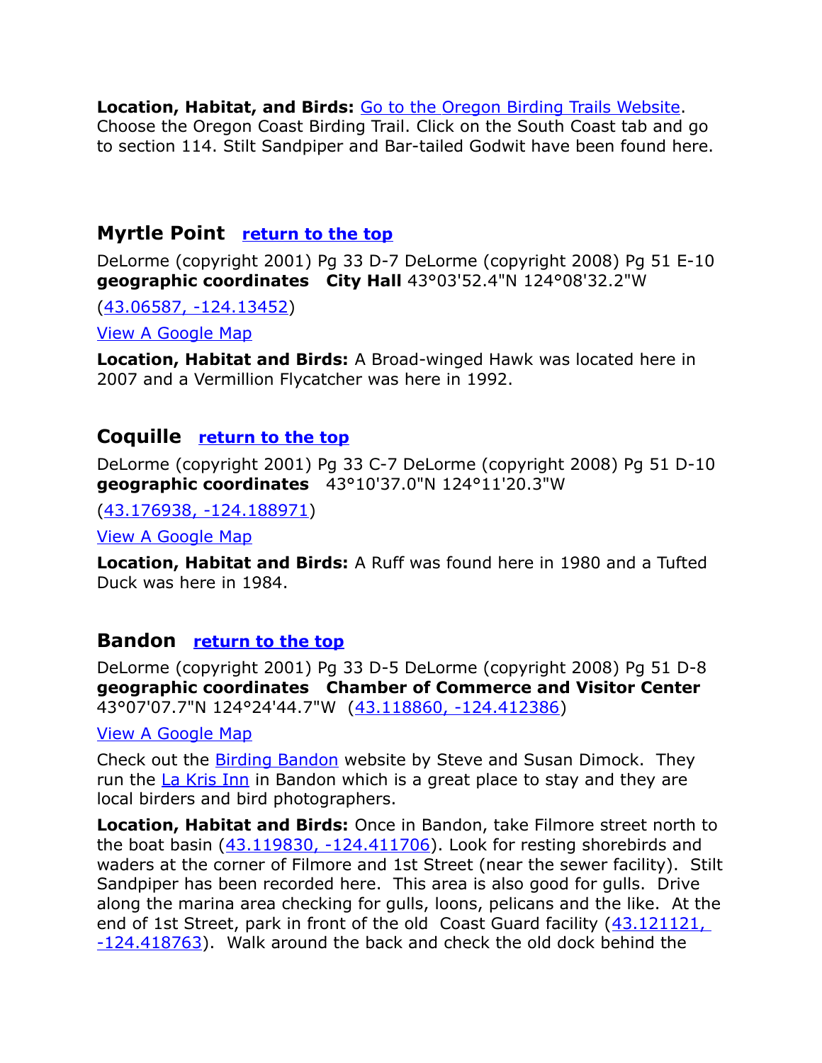**Location, Habitat, and Birds:** [Go to the Oregon Birding Trails Website.](http://www.oregonbirdingtrails.org/) Choose the Oregon Coast Birding Trail. Click on the South Coast tab and go to section 114. Stilt Sandpiper and Bar-tailed Godwit have been found here.

# <span id="page-17-2"></span>**Myrtle Point [return to the top](#page-0-0)**

DeLorme (copyright 2001) Pg 33 D-7 DeLorme (copyright 2008) Pg 51 E-10 **geographic coordinates City Hall** 43°03'52.4"N 124°08'32.2"W

[\(43.06587, -124.13452\)](https://www.google.com/maps/place/43%C2%B003)

[View A Google Map](http://maps.google.com/maps/ms?hl=en&ie=UTF8&msa=0&ll=43.06036,-123.971786&spn=0.398339,1.056747&z=11&msid=108036481085398338899.000479923416eb65295e5)

**Location, Habitat and Birds:** A Broad-winged Hawk was located here in 2007 and a Vermillion Flycatcher was here in 1992.

# <span id="page-17-1"></span>**Coquille [return to the top](#page-0-0)**

DeLorme (copyright 2001) Pg 33 C-7 DeLorme (copyright 2008) Pg 51 D-10 **geographic coordinates** 43°10'37.0"N 124°11'20.3"W

[\(43.176938, -124.188971\)](https://www.google.com/maps/place/43%C2%B010)

[View A Google Map](http://maps.google.com/maps/ms?hl=en&ie=UTF8&msa=0&ll=43.059858,-123.938141&spn=0.398343,1.056747&z=11&msid=108036481085398338899.000479923416eb65295e5)

**Location, Habitat and Birds:** A Ruff was found here in 1980 and a Tufted Duck was here in 1984.

# <span id="page-17-0"></span>**Bandon [return to the top](#page-0-0)**

DeLorme (copyright 2001) Pg 33 D-5 DeLorme (copyright 2008) Pg 51 D-8 **geographic coordinates Chamber of Commerce and Visitor Center** 43°07'07.7"N 124°24'44.7"W [\(43.118860, -124.412386\)](https://www.google.com/maps/place/43%C2%B007)

[View A Google Map](http://maps.google.com/maps/ms?hl=en&ie=UTF8&msa=0&ll=43.059858,-123.938141&spn=0.398343,1.056747&z=11&msid=108036481085398338899.000479923416eb65295e5)

Check out the [Birding Bandon](http://www.birdingbandon.com/) website by Steve and Susan Dimock. They run the [La Kris Inn](http://www.lakrisinn.com/) in Bandon which is a great place to stay and they are local birders and bird photographers.

**Location, Habitat and Birds:** Once in Bandon, take Filmore street north to the boat basin [\(43.119830, -124.411706\)](https://www.google.com/maps/place/43%C2%B007). Look for resting shorebirds and waders at the corner of Filmore and 1st Street (near the sewer facility). Stilt Sandpiper has been recorded here. This area is also good for gulls. Drive along the marina area checking for gulls, loons, pelicans and the like. At the end of 1st Street, park in front of the old Coast Guard facility [\(43.121121,](https://www.google.com/maps/place/43%C2%B007)   $-124.418763$ ). Walk around the back and check the old dock behind the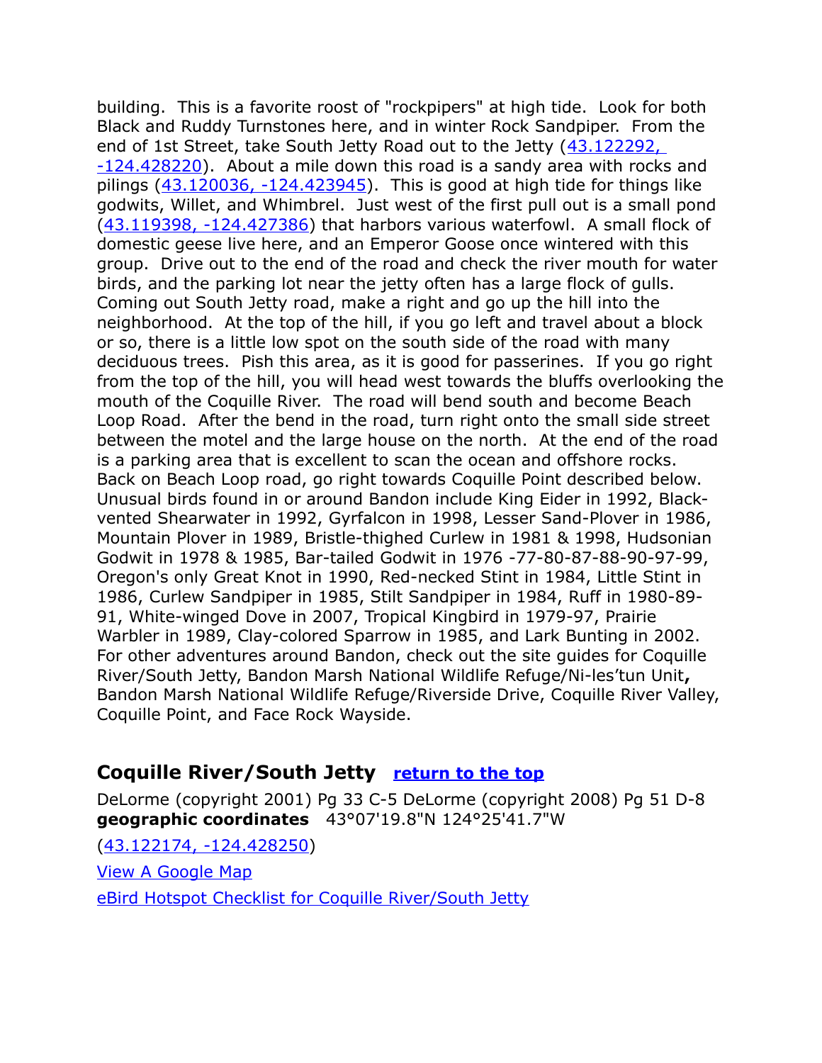building. This is a favorite roost of "rockpipers" at high tide. Look for both Black and Ruddy Turnstones here, and in winter Rock Sandpiper. From the end of 1st Street, take South Jetty Road out to the Jetty (43.122292, [-124.428220\)](https://www.google.com/maps/place/43%C2%B007). About a mile down this road is a sandy area with rocks and pilings  $(43.120036, -124.423945)$ . This is good at high tide for things like godwits, Willet, and Whimbrel. Just west of the first pull out is a small pond [\(43.119398, -124.427386\)](https://www.google.com/maps/place/43%C2%B007) that harbors various waterfowl. A small flock of domestic geese live here, and an Emperor Goose once wintered with this group. Drive out to the end of the road and check the river mouth for water birds, and the parking lot near the jetty often has a large flock of gulls. Coming out South Jetty road, make a right and go up the hill into the neighborhood. At the top of the hill, if you go left and travel about a block or so, there is a little low spot on the south side of the road with many deciduous trees. Pish this area, as it is good for passerines. If you go right from the top of the hill, you will head west towards the bluffs overlooking the mouth of the Coquille River. The road will bend south and become Beach Loop Road. After the bend in the road, turn right onto the small side street between the motel and the large house on the north. At the end of the road is a parking area that is excellent to scan the ocean and offshore rocks. Back on Beach Loop road, go right towards Coquille Point described below. Unusual birds found in or around Bandon include King Eider in 1992, Blackvented Shearwater in 1992, Gyrfalcon in 1998, Lesser Sand-Plover in 1986, Mountain Plover in 1989, Bristle-thighed Curlew in 1981 & 1998, Hudsonian Godwit in 1978 & 1985, Bar-tailed Godwit in 1976 -77-80-87-88-90-97-99, Oregon's only Great Knot in 1990, Red-necked Stint in 1984, Little Stint in 1986, Curlew Sandpiper in 1985, Stilt Sandpiper in 1984, Ruff in 1980-89- 91, White-winged Dove in 2007, Tropical Kingbird in 1979-97, Prairie Warbler in 1989, Clay-colored Sparrow in 1985, and Lark Bunting in 2002. For other adventures around Bandon, check out the site guides for Coquille River/South Jetty, Bandon Marsh National Wildlife Refuge/Ni-les'tun Unit**,**  Bandon Marsh National Wildlife Refuge/Riverside Drive, Coquille River Valley, Coquille Point, and Face Rock Wayside.

# <span id="page-18-0"></span>**Coquille River/South Jetty [return to the top](#page-0-0)**

DeLorme (copyright 2001) Pg 33 C-5 DeLorme (copyright 2008) Pg 51 D-8 **geographic coordinates** 43°07'19.8"N 124°25'41.7"W

[\(43.122174, -124.428250\)](https://www.google.com/maps/place/43%C2%B007) [View A Google Map](http://maps.google.com/maps/ms?ie=UTF8&hl=en&msa=0&msid=108036481085398338899.00046b4fd11c5d48967b1&ll=43.136443,-124.383945&spn=0.085431,0.138702&z=13) [eBird Hotspot Checklist for Coquille River/South Jetty](http://ebird.org/ebird/hotspot/L774789)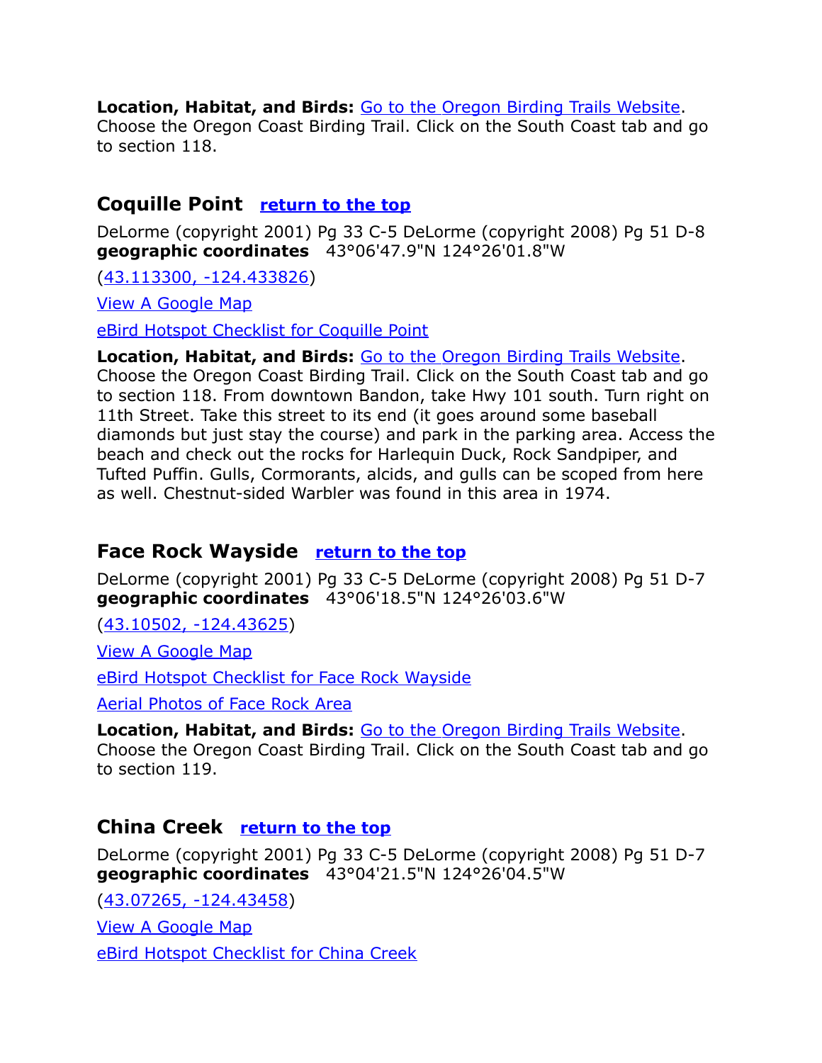#### **Location, Habitat, and Birds:** [Go to the Oregon Birding Trails Website.](http://www.oregonbirdingtrails.org/)

Choose the Oregon Coast Birding Trail. Click on the South Coast tab and go to section 118.

# <span id="page-19-2"></span>**Coquille Point [return to the top](#page-0-0)**

DeLorme (copyright 2001) Pg 33 C-5 DeLorme (copyright 2008) Pg 51 D-8 **geographic coordinates** 43°06'47.9"N 124°26'01.8"W

[\(43.113300, -124.433826\)](https://www.google.com/maps/place/43%C2%B006)

[View A Google Map](http://maps.google.com/maps/ms?ie=UTF8&hl=en&msa=0&msid=108036481085398338899.00046b4fd11c5d48967b1&ll=43.136443,-124.383945&spn=0.085431,0.138702&z=13)

[eBird Hotspot Checklist for Coquille Point](http://ebird.org/ebird/hotspot/L159580)

**Location, Habitat, and Birds:** [Go to the Oregon Birding Trails Website.](http://www.oregonbirdingtrails.org/)

Choose the Oregon Coast Birding Trail. Click on the South Coast tab and go to section 118. From downtown Bandon, take Hwy 101 south. Turn right on 11th Street. Take this street to its end (it goes around some baseball diamonds but just stay the course) and park in the parking area. Access the beach and check out the rocks for Harlequin Duck, Rock Sandpiper, and Tufted Puffin. Gulls, Cormorants, alcids, and gulls can be scoped from here as well. Chestnut-sided Warbler was found in this area in 1974.

## <span id="page-19-1"></span>**Face Rock Wayside [return to the top](#page-0-0)**

DeLorme (copyright 2001) Pg 33 C-5 DeLorme (copyright 2008) Pg 51 D-7 **geographic coordinates** 43°06'18.5"N 124°26'03.6"W

[\(43.10502, -124.43625\)](https://www.google.com/maps/place/43%C2%B006)

[View A Google Map](http://maps.google.com/maps/ms?ie=UTF8&hl=en&msa=0&msid=108036481085398338899.00046b4fd11c5d48967b1&ll=43.136443,-124.383945&spn=0.085431,0.138702&z=13)

[eBird Hotspot Checklist for Face Rock Wayside](http://ebird.org/ebird/hotspot/L450318)

[Aerial Photos of Face Rock Area](http://seawaves.us/albums/facerock/index.html)

**Location, Habitat, and Birds:** [Go to the Oregon Birding Trails Website.](http://www.oregonbirdingtrails.org/) Choose the Oregon Coast Birding Trail. Click on the South Coast tab and go to section 119.

## <span id="page-19-0"></span>**China Creek [return to the top](#page-0-0)**

DeLorme (copyright 2001) Pg 33 C-5 DeLorme (copyright 2008) Pg 51 D-7 **geographic coordinates** 43°04'21.5"N 124°26'04.5"W

[\(43.07265, -124.43458\)](https://www.google.com/maps/place/43%C2%B004)

[View A Google Map](http://maps.google.com/maps/ms?ie=UTF8&hl=en&msa=0&msid=108036481085398338899.00046b4fd11c5d48967b1&ll=43.136443,-124.383945&spn=0.085431,0.138702&z=13)

[eBird Hotspot Checklist for China Creek](http://ebird.org/ebird/hotspot/L964057)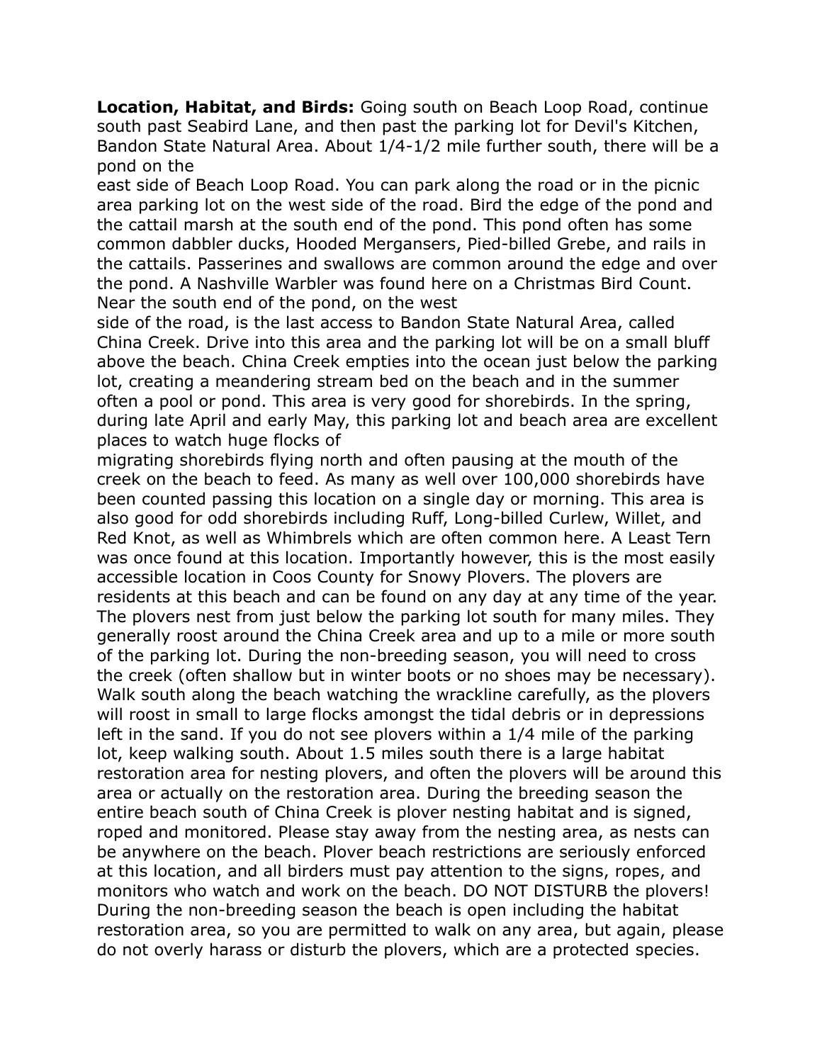**Location, Habitat, and Birds:** Going south on Beach Loop Road, continue south past Seabird Lane, and then past the parking lot for Devil's Kitchen, Bandon State Natural Area. About 1/4-1/2 mile further south, there will be a pond on the

east side of Beach Loop Road. You can park along the road or in the picnic area parking lot on the west side of the road. Bird the edge of the pond and the cattail marsh at the south end of the pond. This pond often has some common dabbler ducks, Hooded Mergansers, Pied-billed Grebe, and rails in the cattails. Passerines and swallows are common around the edge and over the pond. A Nashville Warbler was found here on a Christmas Bird Count. Near the south end of the pond, on the west

side of the road, is the last access to Bandon State Natural Area, called China Creek. Drive into this area and the parking lot will be on a small bluff above the beach. China Creek empties into the ocean just below the parking lot, creating a meandering stream bed on the beach and in the summer often a pool or pond. This area is very good for shorebirds. In the spring, during late April and early May, this parking lot and beach area are excellent places to watch huge flocks of

migrating shorebirds flying north and often pausing at the mouth of the creek on the beach to feed. As many as well over 100,000 shorebirds have been counted passing this location on a single day or morning. This area is also good for odd shorebirds including Ruff, Long-billed Curlew, Willet, and Red Knot, as well as Whimbrels which are often common here. A Least Tern was once found at this location. Importantly however, this is the most easily accessible location in Coos County for Snowy Plovers. The plovers are residents at this beach and can be found on any day at any time of the year. The plovers nest from just below the parking lot south for many miles. They generally roost around the China Creek area and up to a mile or more south of the parking lot. During the non-breeding season, you will need to cross the creek (often shallow but in winter boots or no shoes may be necessary). Walk south along the beach watching the wrackline carefully, as the plovers will roost in small to large flocks amongst the tidal debris or in depressions left in the sand. If you do not see plovers within a 1/4 mile of the parking lot, keep walking south. About 1.5 miles south there is a large habitat restoration area for nesting plovers, and often the plovers will be around this area or actually on the restoration area. During the breeding season the entire beach south of China Creek is plover nesting habitat and is signed, roped and monitored. Please stay away from the nesting area, as nests can be anywhere on the beach. Plover beach restrictions are seriously enforced at this location, and all birders must pay attention to the signs, ropes, and monitors who watch and work on the beach. DO NOT DISTURB the plovers! During the non-breeding season the beach is open including the habitat restoration area, so you are permitted to walk on any area, but again, please do not overly harass or disturb the plovers, which are a protected species.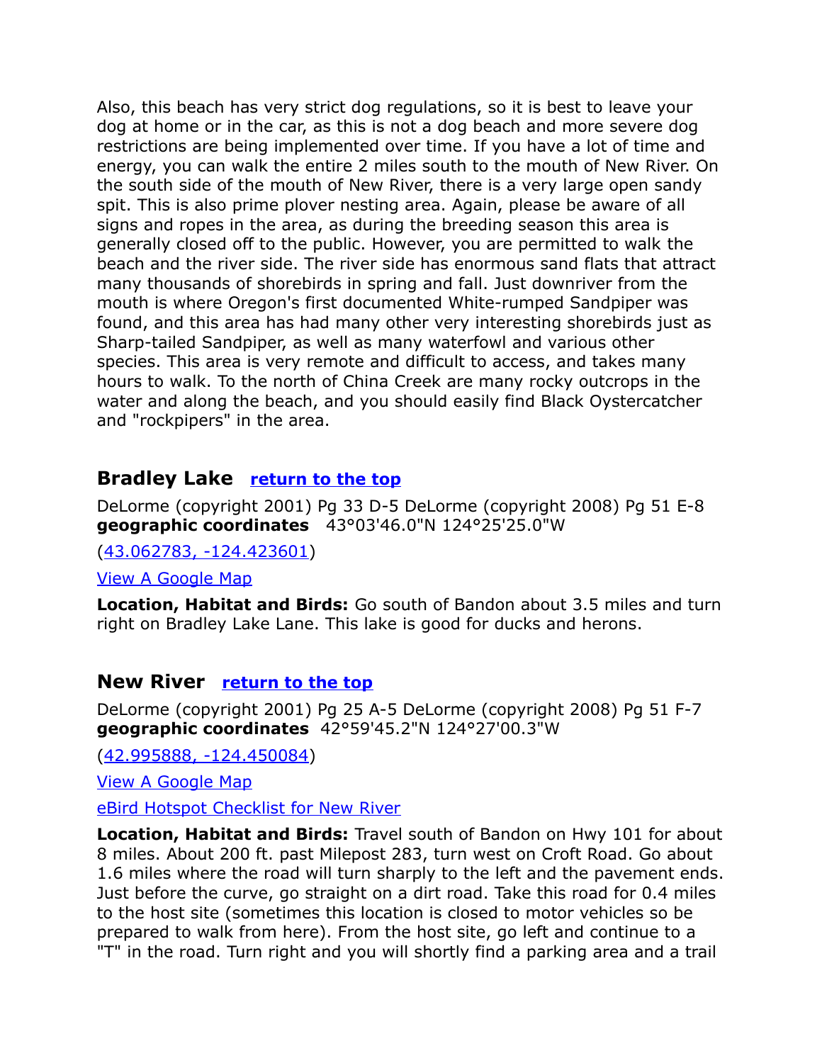Also, this beach has very strict dog regulations, so it is best to leave your dog at home or in the car, as this is not a dog beach and more severe dog restrictions are being implemented over time. If you have a lot of time and energy, you can walk the entire 2 miles south to the mouth of New River. On the south side of the mouth of New River, there is a very large open sandy spit. This is also prime plover nesting area. Again, please be aware of all signs and ropes in the area, as during the breeding season this area is generally closed off to the public. However, you are permitted to walk the beach and the river side. The river side has enormous sand flats that attract many thousands of shorebirds in spring and fall. Just downriver from the mouth is where Oregon's first documented White-rumped Sandpiper was found, and this area has had many other very interesting shorebirds just as Sharp-tailed Sandpiper, as well as many waterfowl and various other species. This area is very remote and difficult to access, and takes many hours to walk. To the north of China Creek are many rocky outcrops in the water and along the beach, and you should easily find Black Oystercatcher and "rockpipers" in the area.

## <span id="page-21-1"></span>**Bradley Lake [return to the top](#page-0-0)**

DeLorme (copyright 2001) Pg 33 D-5 DeLorme (copyright 2008) Pg 51 E-8 **geographic coordinates** 43°03'46.0"N 124°25'25.0"W

[\(43.062783, -124.423601\)](https://www.google.com/maps/place/43%C2%B003)

[View A Google Map](http://maps.google.com/maps/ms?ie=UTF8&hl=en&msa=0&spn=0.191883,0.528374&z=12&msid=108036481085398338899.0004798b67a5c6fdd7489) 

**Location, Habitat and Birds:** Go south of Bandon about 3.5 miles and turn right on Bradley Lake Lane. This lake is good for ducks and herons.

#### <span id="page-21-0"></span>**New River [return to the top](#page-0-0)**

DeLorme (copyright 2001) Pg 25 A-5 DeLorme (copyright 2008) Pg 51 F-7 **geographic coordinates** 42°59'45.2"N 124°27'00.3"W

[\(42.995888, -124.450084\)](https://www.google.com/maps/place/42%C2%B059)

[View A Google Map](http://maps.google.com/maps/ms?hl=en&ie=UTF8&msa=0&ll=42.990272,-124.409523&spn=0.048029,0.132093&z=14&msid=108036481085398338899.00047991fd1bd079fc86a)

[eBird Hotspot Checklist for New River](http://ebird.org/ebird/hotspot/L873417)

**Location, Habitat and Birds:** Travel south of Bandon on Hwy 101 for about 8 miles. About 200 ft. past Milepost 283, turn west on Croft Road. Go about 1.6 miles where the road will turn sharply to the left and the pavement ends. Just before the curve, go straight on a dirt road. Take this road for 0.4 miles to the host site (sometimes this location is closed to motor vehicles so be prepared to walk from here). From the host site, go left and continue to a "T" in the road. Turn right and you will shortly find a parking area and a trail